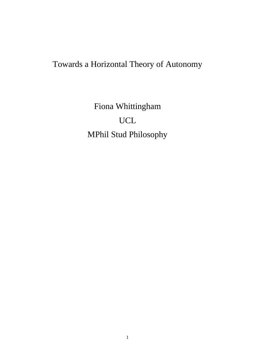# Towards a Horizontal Theory of Autonomy

Fiona Whittingham UCL MPhil Stud Philosophy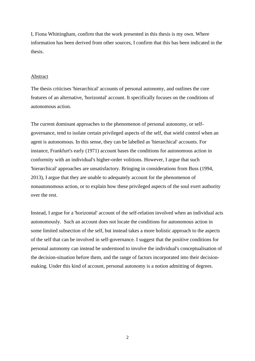I, Fiona Whittingham, confirm that the work presented in this thesis is my own. Where information has been derived from other sources, I confirm that this has been indicated in the thesis.

#### Abstract

The thesis criticises 'hierarchical' accounts of personal autonomy, and outlines the core features of an alternative, 'horizontal' account. It specifically focuses on the conditions of autonomous action.

The current dominant approaches to the phenomenon of personal autonomy, or selfgovernance, tend to isolate certain privileged aspects of the self, that wield control when an agent is autonomous. In this sense, they can be labelled as 'hierarchical' accounts. For instance, Frankfurt's early (1971) account bases the conditions for autonomous action in conformity with an individual's higher-order volitions. However, I argue that such 'hierarchical' approaches are unsatisfactory. Bringing in considerations from Buss (1994, 2013), I argue that they are unable to adequately account for the phenomenon of nonautonomous action, or to explain how these privileged aspects of the soul exert authority over the rest.

Instead, I argue for a 'horizontal' account of the self-relation involved when an individual acts autonomously. Such an account does not locate the conditions for autonomous action in some limited subsection of the self, but instead takes a more holistic approach to the aspects of the self that can be involved in self-governance. I suggest that the positive conditions for personal autonomy can instead be understood to involve the individual's conceptualisation of the decision-situation before them, and the range of factors incorporated into their decisionmaking. Under this kind of account, personal autonomy is a notion admitting of degrees.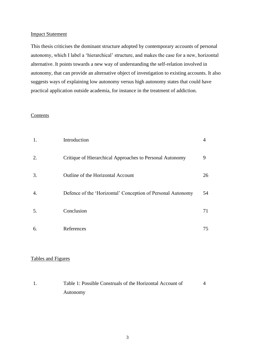#### Impact Statement

This thesis criticises the dominant structure adopted by contemporary accounts of personal autonomy, which I label a 'hierarchical' structure, and makes the case for a new, horizontal alternative. It points towards a new way of understanding the self-relation involved in autonomy, that can provide an alternative object of investigation to existing accounts. It also suggests ways of explaining low autonomy versus high autonomy states that could have practical application outside academia, for instance in the treatment of addiction.

## Contents

| 1. | Introduction                                                | 4  |
|----|-------------------------------------------------------------|----|
| 2. | Critique of Hierarchical Approaches to Personal Autonomy    | 9  |
| 3. | Outline of the Horizontal Account                           | 26 |
| 4. | Defence of the 'Horizontal' Conception of Personal Autonomy | 54 |
| 5. | Conclusion                                                  | 71 |
| 6. | References                                                  | 75 |

## Tables and Figures

| Table 1: Possible Construals of the Horizontal Account of |  |
|-----------------------------------------------------------|--|
| Autonomy                                                  |  |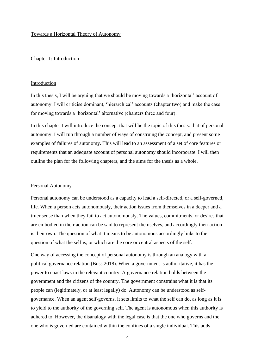#### Towards a Horizontal Theory of Autonomy

#### Chapter 1: Introduction

#### Introduction

In this thesis, I will be arguing that we should be moving towards a 'horizontal' account of autonomy. I will criticise dominant, 'hierarchical' accounts (chapter two) and make the case for moving towards a 'horizontal' alternative (chapters three and four).

In this chapter I will introduce the concept that will be the topic of this thesis: that of personal autonomy. I will run through a number of ways of construing the concept, and present some examples of failures of autonomy. This will lead to an assessment of a set of core features or requirements that an adequate account of personal autonomy should incorporate. I will then outline the plan for the following chapters, and the aims for the thesis as a whole.

#### Personal Autonomy

Personal autonomy can be understood as a capacity to lead a self-directed, or a self-governed, life. When a person acts autonomously, their action issues from themselves in a deeper and a truer sense than when they fail to act autonomously. The values, commitments, or desires that are embodied in their action can be said to represent themselves, and accordingly their action is their own. The question of what it means to be autonomous accordingly links to the question of what the self is, or which are the core or central aspects of the self.

One way of accessing the concept of personal autonomy is through an analogy with a political governance relation (Buss 2018). When a government is authoritative, it has the power to enact laws in the relevant country. A governance relation holds between the government and the citizens of the country. The government constrains what it is that its people can (legitimately, or at least legally) do. Autonomy can be understood as selfgovernance. When an agent self-governs, it sets limits to what the self can do, as long as it is to yield to the authority of the governing self. The agent is autonomous when this authority is adhered to. However, the disanalogy with the legal case is that the one who governs and the one who is governed are contained within the confines of a single individual. This adds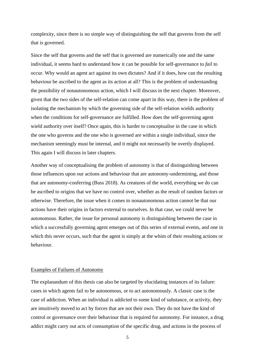complexity, since there is no simple way of distinguishing the self that governs from the self that is governed.

Since the self that governs and the self that is governed are numerically one and the same individual, it seems hard to understand how it can be possible for self-governance to *fail* to occur. Why would an agent act against its own dictates? And if it does, how can the resulting behaviour be ascribed to the agent as its action at all? This is the problem of understanding the possibility of nonautonomous action, which I will discuss in the next chapter. Moreover, given that the two sides of the self-relation can come apart in this way, there is the problem of isolating the mechanism by which the governing side of the self-relation wields authority when the conditions for self-governance are fulfilled. How does the self-governing agent wield authority over itself? Once again, this is harder to conceptualise in the case in which the one who governs and the one who is governed are within a single individual, since the mechanism seemingly must be internal, and it might not necessarily be overtly displayed. This again I will discuss in later chapters.

Another way of conceptualising the problem of autonomy is that of distinguishing between those influences upon our actions and behaviour that are autonomy-undermining, and those that are autonomy-conferring (Buss 2018). As creatures of the world, everything we do can be ascribed to origins that we have no control over, whether as the result of random factors or otherwise. Therefore, the issue when it comes to nonautonomous action cannot be that our actions have their origins in factors external to ourselves. In that case, we could never be autonomous. Rather, the issue for personal autonomy is distinguishing between the case in which a successfully governing agent emerges out of this series of external events, and one in which this never occurs, such that the agent is simply at the whim of their resulting actions or behaviour.

## Examples of Failures of Autonomy

The explanandum of this thesis can also be targeted by elucidating instances of its failure: cases in which agents fail to be autonomous, or to act autonomously. A classic case is the case of addiction. When an individual is addicted to some kind of substance, or activity, they are intuitively moved to act by forces that are not their own. They do not have the kind of control or governance over their behaviour that is required for autonomy. For instance, a drug addict might carry out acts of consumption of the specific drug, and actions in the process of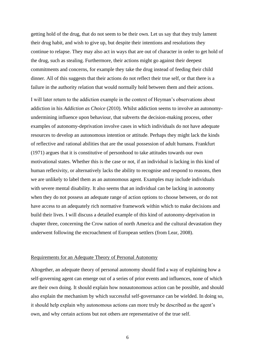getting hold of the drug, that do not seem to be their own. Let us say that they truly lament their drug habit, and wish to give up, but despite their intentions and resolutions they continue to relapse. They may also act in ways that are out of character in order to get hold of the drug, such as stealing. Furthermore, their actions might go against their deepest commitments and concerns, for example they take the drug instead of feeding their child dinner. All of this suggests that their actions do not reflect their true self, or that there is a failure in the authority relation that would normally hold between them and their actions.

I will later return to the addiction example in the context of Heyman's observations about addiction in his *Addiction as Choice* (2010). Whilst addiction seems to involve an autonomyundermining influence upon behaviour, that subverts the decision-making process, other examples of autonomy-deprivation involve cases in which individuals do not have adequate resources to develop an autonomous intention or attitude. Perhaps they might lack the kinds of reflective and rational abilities that are the usual possession of adult humans. Frankfurt (1971) argues that it is constitutive of personhood to take attitudes towards our own motivational states. Whether this is the case or not, if an individual is lacking in this kind of human reflexivity, or alternatively lacks the ability to recognise and respond to reasons, then we are unlikely to label them as an autonomous agent. Examples may include individuals with severe mental disability. It also seems that an individual can be lacking in autonomy when they do not possess an adequate range of action options to choose between, or do not have access to an adequately rich normative framework within which to make decisions and build their lives. I will discuss a detailed example of this kind of autonomy-deprivation in chapter three, concerning the Crow nation of north America and the cultural devastation they underwent following the encroachment of European settlers (from Lear, 2008).

#### Requirements for an Adequate Theory of Personal Autonomy

Altogether, an adequate theory of personal autonomy should find a way of explaining how a self-governing agent can emerge out of a series of prior events and influences, none of which are their own doing. It should explain how nonautonomous action can be possible, and should also explain the mechanism by which successful self-governance can be wielded. In doing so, it should help explain why autonomous actions can more truly be described as the agent's own, and why certain actions but not others are representative of the true self.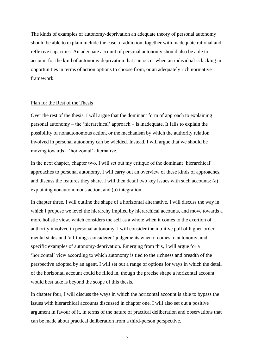The kinds of examples of autonomy-deprivation an adequate theory of personal autonomy should be able to explain include the case of addiction, together with inadequate rational and reflexive capacities. An adequate account of personal autonomy should also be able to account for the kind of autonomy deprivation that can occur when an individual is lacking in opportunities in terms of action options to choose from, or an adequately rich normative framework.

#### Plan for the Rest of the Thesis

Over the rest of the thesis, I will argue that the dominant form of approach to explaining personal autonomy – the 'hierarchical' approach – is inadequate. It fails to explain the possibility of nonautonomous action, or the mechanism by which the authority relation involved in personal autonomy can be wielded. Instead, I will argue that we should be moving towards a 'horizontal' alternative.

In the next chapter, chapter two, I will set out my critique of the dominant 'hierarchical' approaches to personal autonomy. I will carry out an overview of these kinds of approaches, and discuss the features they share. I will then detail two key issues with such accounts: (a) explaining nonautonomous action, and (b) integration.

In chapter three, I will outline the shape of a horizontal alternative. I will discuss the way in which I propose we level the hierarchy implied by hierarchical accounts, and move towards a more holistic view, which considers the self as a whole when it comes to the exertion of authority involved in personal autonomy. I will consider the intuitive pull of higher-order mental states and 'all-things-considered' judgements when it comes to autonomy, and specific examples of autonomy-deprivation. Emerging from this, I will argue for a 'horizontal' view according to which autonomy is tied to the richness and breadth of the perspective adopted by an agent. I will set out a range of options for ways in which the detail of the horizontal account could be filled in, though the precise shape a horizontal account would best take is beyond the scope of this thesis.

In chapter four, I will discuss the ways in which the horizontal account is able to bypass the issues with hierarchical accounts discussed in chapter one. I will also set out a positive argument in favour of it, in terms of the nature of practical deliberation and observations that can be made about practical deliberation from a third-person perspective.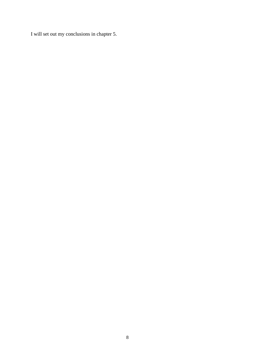I will set out my conclusions in chapter 5.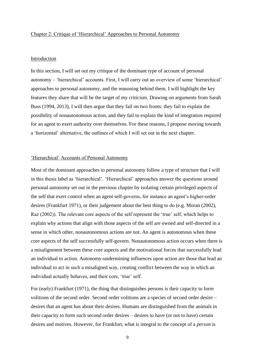#### Chapter 2: Critique of 'Hierarchical' Approaches to Personal Autonomy

#### Introduction

In this section, I will set out my critique of the dominant type of account of personal autonomy – 'hierarchical' accounts. First, I will carry out an overview of some 'hierarchical' approaches to personal autonomy, and the reasoning behind them. I will highlight the key features they share that will be the target of my criticism. Drawing on arguments from Sarah Buss (1994, 2013), I will then argue that they fail on two fronts: they fail to explain the possibility of nonautonomous action, and they fail to explain the kind of integration required for an agent to exert authority over themselves. For these reasons, I propose moving towards a 'horizontal' alternative, the outlines of which I will set out in the next chapter.

## 'Hierarchical' Accounts of Personal Autonomy

Most of the dominant approaches to personal autonomy follow a type of structure that I will in this thesis label as 'hierarchical'. 'Hierarchical' approaches answer the questions around personal autonomy set out in the previous chapter by isolating certain privileged aspects of the self that exert control when an agent self-governs, for instance an agent's higher-order desires (Frankfurt 1971), or their judgement about the best thing to do (e.g. Moran (2002), Raz (2002)). The relevant core aspects of the self represent the 'true' self, which helps to explain why actions that align with those aspects of the self are owned and self-directed in a sense in which other, nonautonomous actions are not. An agent is autonomous when these core aspects of the self successfully self-govern. Nonautonomous action occurs when there is a misalignment between these core aspects and the motivational forces that successfully lead an individual to action. Autonomy-undermining influences upon action are those that lead an individual to act in such a misaligned way, creating conflict between the way in which an individual actually behaves, and their core, 'true' self.

For (early) Frankfurt (1971), the thing that distinguishes persons is their capacity to form volitions of the second order. Second order volitions are a species of second order desire – desires that an agent has about their desires. Humans are distinguished from the animals in their capacity to form such second order desires – desires to have (or not to have) certain desires and motives. However, for Frankfurt, what is integral to the concept of a *person* is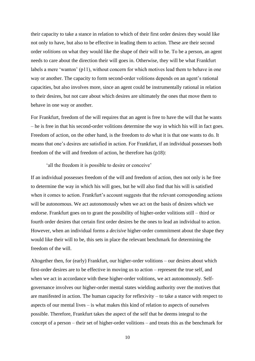their capacity to take a stance in relation to which of their first order desires they would like not only to have, but also to be effective in leading them to action. These are their second order *volitions* on what they would like the shape of their will to be. To be a person, an agent needs to care about the direction their will goes in. Otherwise, they will be what Frankfurt labels a mere 'wanton' (p11), without concern for which motives lead them to behave in one way or another. The capacity to form second-order volitions depends on an agent's rational capacities, but also involves more, since an agent could be instrumentally rational in relation to their desires, but not care about which desires are ultimately the ones that move them to behave in one way or another.

For Frankfurt, freedom of the will requires that an agent is free to have the will that he wants – he is free in that his second-order volitions determine the way in which his will in fact goes. Freedom of action, on the other hand, is the freedom to *do* what it is that one wants to do. It means that one's desires are satisfied in action. For Frankfurt, if an individual possesses both freedom of the will and freedom of action, he therefore has (p18):

#### 'all the freedom it is possible to desire or conceive'

If an individual possesses freedom of the will and freedom of action, then not only is he free to determine the way in which his will goes, but he will also find that his will is satisfied when it comes to action. Frankfurt's account suggests that the relevant corresponding actions will be autonomous. We act autonomously when we act on the basis of desires which we endorse. Frankfurt goes on to grant the possibility of higher-order volitions still – third or fourth order desires that certain first order desires be the ones to lead an individual to action. However, when an individual forms a *decisive* higher-order commitment about the shape they would like their will to be, this sets in place the relevant benchmark for determining the freedom of the will.

Altogether then, for (early) Frankfurt, our higher-order volitions – our desires about which first-order desires are to be effective in moving us to action – represent the true self, and when we act in accordance with these higher-order volitions, we act autonomously. Selfgovernance involves our higher-order mental states wielding authority over the motives that are manifested in action. The human capacity for reflexivity – to take a stance with respect to aspects of our mental lives – is what makes this kind of relation to aspects of ourselves possible. Therefore, Frankfurt takes the aspect of the self that he deems integral to the concept of a person – their set of higher-order volitions – and treats this as the benchmark for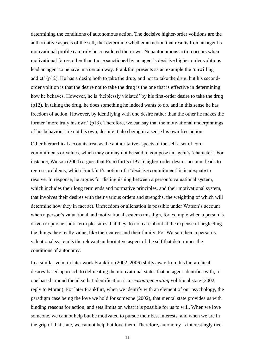determining the conditions of autonomous action. The decisive higher-order volitions are the authoritative aspects of the self, that determine whether an action that results from an agent's motivational profile can truly be considered their own. Nonautonomous action occurs when motivational forces other than those sanctioned by an agent's decisive higher-order volitions lead an agent to behave in a certain way. Frankfurt presents as an example the 'unwilling addict' (p12). He has a desire both to take the drug, and not to take the drug, but his secondorder volition is that the desire not to take the drug is the one that is effective in determining how he behaves. However, he is 'helplessly violated' by his first-order desire to take the drug (p12). In taking the drug, he does something he indeed wants to do, and in this sense he has freedom of action. However, by identifying with one desire rather than the other he makes the former 'more truly his own' (p13). Therefore, we can say that the motivational underpinnings of his behaviour are not his own, despite it also being in a sense his own free action.

Other hierarchical accounts treat as the authoritative aspects of the self a set of core commitments or values, which may or may not be said to compose an agent's 'character'. For instance, Watson (2004) argues that Frankfurt's (1971) higher-order desires account leads to regress problems, which Frankfurt's notion of a 'decisive commitment' is inadequate to resolve. In response, he argues for distinguishing between a person's valuational system, which includes their long term ends and normative principles, and their motivational system, that involves their desires with their various orders and strengths, the weighting of which will determine how they in fact act. Unfreedom or alienation is possible under Watson's account when a person's valuational and motivational systems misalign, for example when a person is driven to pursue short-term pleasures that they do not care about at the expense of neglecting the things they really value, like their career and their family. For Watson then, a person's valuational system is the relevant authoritative aspect of the self that determines the conditions of autonomy.

In a similar vein, in later work Frankfurt (2002, 2006) shifts away from his hierarchical desires-based approach to delineating the motivational states that an agent identifies with, to one based around the idea that identification is a *reason-generating* volitional state (2002, reply to Moran). For later Frankfurt, when we identify with an element of our psychology, the paradigm case being the love we hold for someone (2002), that mental state provides us with binding reasons for action, and sets limits on what it is possible for us to will. When we love someone, we cannot help but be motivated to pursue their best interests, and when we are in the grip of that state, we cannot help but love them. Therefore, autonomy is interestingly tied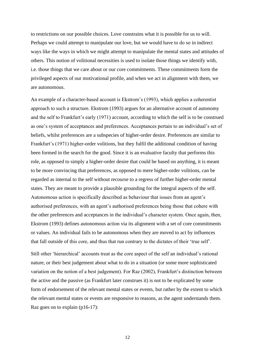to restrictions on our possible choices. Love constrains what it is possible for us to will. Perhaps we could attempt to manipulate our love, but we would have to do so in indirect ways like the ways in which we might attempt to manipulate the mental states and attitudes of others. This notion of volitional necessities is used to isolate those things we identify with, i.e. those things that we care about or our core commitments. These commitments form the privileged aspects of our motivational profile, and when we act in alignment with them, we are autonomous.

An example of a character-based account is Ekstrom's (1993), which applies a coherentist approach to such a structure. Ekstrom (1993) argues for an alternative account of autonomy and the self to Frankfurt's early (1971) account, according to which the self is to be construed as one's system of acceptances and preferences. Acceptances pertain to an individual's set of beliefs, whilst preferences are a subspecies of higher-order desire. Preferences are similar to Frankfurt's (1971) higher-order volitions, but they fulfil the additional condition of having been formed in the search for the good. Since it is an evaluative faculty that performs this role, as opposed to simply a higher-order desire that could be based on anything, it is meant to be more convincing that preferences, as opposed to mere higher-order volitions, can be regarded as internal to the self without recourse to a regress of further higher-order mental states. They are meant to provide a plausible grounding for the integral aspects of the self. Autonomous action is specifically described as behaviour that issues from an agent's authorised preferences, with an agent's authorised preferences being those that cohere with the other preferences and acceptances in the individual's character system. Once again, then, Ekstrom (1993) defines autonomous action via its alignment with a set of core commitments or values. An individual fails to be autonomous when they are moved to act by influences that fall outside of this core, and thus that run contrary to the dictates of their 'true self'.

Still other 'hierarchical' accounts treat as the core aspect of the self an individual's rational nature, or their best judgement about what to do in a situation (or some more sophisticated variation on the notion of a best judgement). For Raz (2002), Frankfurt's distinction between the active and the passive (as Frankfurt later construes it) is not to be explicated by some form of endorsement of the relevant mental states or events, but rather by the extent to which the relevant mental states or events are responsive to reasons, as the agent understands them. Raz goes on to explain (p16-17):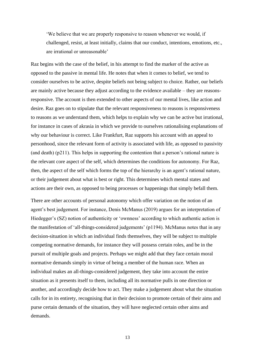'We believe that we are properly responsive to reason whenever we would, if challenged, resist, at least initially, claims that our conduct, intentions, emotions, etc., are irrational or unreasonable'

Raz begins with the case of the belief, in his attempt to find the marker of the active as opposed to the passive in mental life. He notes that when it comes to belief, we tend to consider ourselves to be active, despite beliefs not being subject to choice. Rather, our beliefs are mainly active because they adjust according to the evidence available – they are reasonsresponsive. The account is then extended to other aspects of our mental lives, like action and desire. Raz goes on to stipulate that the relevant responsiveness to reasons is responsiveness to reasons as we understand them, which helps to explain why we can be active but irrational, for instance in cases of akrasia in which we provide to ourselves rationalising explanations of why our behaviour is correct. Like Frankfurt, Raz supports his account with an appeal to personhood, since the relevant form of activity is associated with life, as opposed to passivity (and death) (p211). This helps in supporting the contention that a person's rational nature is the relevant core aspect of the self, which determines the conditions for autonomy. For Raz, then, the aspect of the self which forms the top of the hierarchy is an agent's rational nature, or their judgement about what is best or right. This determines which mental states and actions are their own, as opposed to being processes or happenings that simply befall them.

There are other accounts of personal autonomy which offer variation on the notion of an agent's best judgement. For instance, Denis McManus (2019) argues for an interpretation of Hiedegger's (SZ) notion of authenticity or 'ownness' according to which authentic action is the manifestation of 'all-things-considered judgements' (p1194). McManus notes that in any decision-situation in which an individual finds themselves, they will be subject to multiple competing normative demands, for instance they will possess certain roles, and be in the pursuit of multiple goals and projects. Perhaps we might add that they face certain moral normative demands simply in virtue of being a member of the human race. When an individual makes an all-things-considered judgement, they take into account the entire situation as it presents itself to them, including all its normative pulls in one direction or another, and accordingly decide how to act. They make a judgement about what the situation calls for in its entirety, recognising that in their decision to promote certain of their aims and purse certain demands of the situation, they will have neglected certain other aims and demands.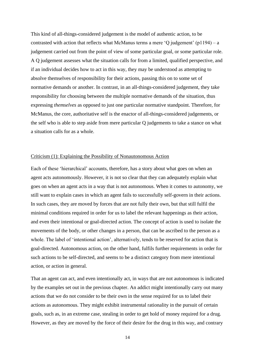This kind of all-things-considered judgement is the model of authentic action, to be contrasted with action that reflects what McManus terms a mere 'Q judgement'  $(p1194) - a$ judgement carried out from the point of view of some particular goal, or some particular role. A Q judgement assesses what the situation calls for from a limited, qualified perspective, and if an individual decides how to act in this way, they may be understood as attempting to absolve themselves of responsibility for their actions, passing this on to some set of normative demands or another. In contrast, in an all-things-considered judgement, they take responsibility for choosing between the multiple normative demands of the situation, thus expressing *themselves* as opposed to just one particular normative standpoint. Therefore, for McManus, the core, authoritative self is the enactor of all-things-considered judgements, or the self who is able to step aside from mere particular Q judgements to take a stance on what a situation calls for as a whole.

#### Criticism (1): Explaining the Possibility of Nonautonomous Action

Each of these 'hierarchical' accounts, therefore, has a story about what goes on when an agent acts autonomously. However, it is not so clear that they can adequately explain what goes on when an agent acts in a way that is not autonomous. When it comes to autonomy, we still want to explain cases in which an agent fails to successfully self-govern in their actions. In such cases, they are moved by forces that are not fully their own, but that still fulfil the minimal conditions required in order for us to label the relevant happenings as their action, and even their intentional or goal-directed action. The concept of action is used to isolate the movements of the body, or other changes in a person, that can be ascribed to the person as a whole. The label of 'intentional action', alternatively, tends to be reserved for action that is goal-directed. Autonomous action, on the other hand, fulfils further requirements in order for such actions to be self-directed, and seems to be a distinct category from mere intentional action, or action in general.

That an agent can act, and even intentionally act, in ways that are not autonomous is indicated by the examples set out in the previous chapter. An addict might intentionally carry out many actions that we do not consider to be their own in the sense required for us to label their actions as autonomous. They might exhibit instrumental rationality in the pursuit of certain goals, such as, in an extreme case, stealing in order to get hold of money required for a drug. However, as they are moved by the force of their desire for the drug in this way, and contrary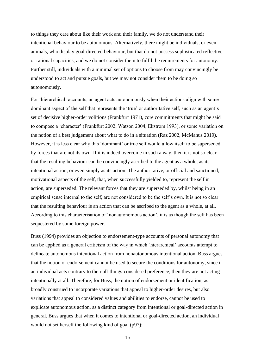to things they care about like their work and their family, we do not understand their intentional behaviour to be autonomous. Alternatively, there might be individuals, or even animals, who display goal-directed behaviour, but that do not possess sophisticated reflective or rational capacities, and we do not consider them to fulfil the requirements for autonomy. Further still, individuals with a minimal set of options to choose from may convincingly be understood to act and pursue goals, but we may not consider them to be doing so autonomously.

For 'hierarchical' accounts, an agent acts autonomously when their actions align with some dominant aspect of the self that represents the 'true' or authoritative self, such as an agent's set of decisive higher-order volitions (Frankfurt 1971), core commitments that might be said to compose a 'character' (Frankfurt 2002, Watson 2004, Ekstrom 1993), or some variation on the notion of a best judgement about what to do in a situation (Raz 2002, McManus 2019). However, it is less clear why this 'dominant' or true self would allow itself to be superseded by forces that are not its own. If it is indeed overcome in such a way, then it is not so clear that the resulting behaviour can be convincingly ascribed to the agent as a whole, as its intentional action, or even simply as its action. The authoritative, or official and sanctioned, motivational aspects of the self, that, when successfully yielded to, represent the self in action, are superseded. The relevant forces that they are superseded by, whilst being in an empirical sense internal to the self, are not considered to be the self's own. It is not so clear that the resulting behaviour is an action that can be ascribed to the agent as a whole, at all. According to this characterisation of 'nonautonomous action', it is as though the self has been sequestered by some foreign power.

Buss (1994) provides an objection to endorsement-type accounts of personal autonomy that can be applied as a general criticism of the way in which 'hierarchical' accounts attempt to delineate autonomous intentional action from nonautonomous intentional action. Buss argues that the notion of endorsement cannot be used to secure the conditions for autonomy, since if an individual acts contrary to their all-things-considered preference, then they are not acting intentionally at all. Therefore, for Buss, the notion of endorsement or identification, as broadly construed to incorporate variations that appeal to higher-order desires, but also variations that appeal to considered values and abilities to endorse, cannot be used to explicate autonomous action, as a distinct category from intentional or goal-directed action in general. Buss argues that when it comes to intentional or goal-directed action, an individual would not set herself the following kind of goal (p97):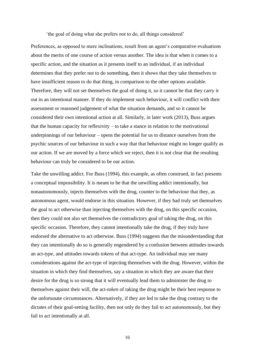'the goal of doing what she prefers *not* to do, all things considered'

Preferences, as opposed to mere inclinations, result from an agent's comparative evaluations about the merits of one course of action versus another. The idea is that when it comes to a specific action, and the situation as it presents itself to an individual, if an individual determines that they prefer not to do something, then it shows that they take themselves to have insufficient reason to do that thing, in comparison to the other options available. Therefore, they will not set themselves the goal of doing it, so it cannot be that they carry it out in an intentional manner. If they do implement such behaviour, it will conflict with their assessment or reasoned judgement of what the situation demands, and so it cannot be considered their own intentional action at all. Similarly, in later work (2013), Buss argues that the human capacity for reflexivity – to take a stance in relation to the motivational underpinnings of our behaviour – opens the potential for us to distance ourselves from the psychic sources of our behaviour in such a way that that behaviour might no longer qualify as our action. If we are moved by a force which we reject, then it is not clear that the resulting behaviour can truly be considered to be our action.

Take the unwilling addict. For Buss (1994), this example, as often construed, in fact presents a conceptual impossibility. It is meant to be that the unwilling addict intentionally, but nonautonomously, injects themselves with the drug, counter to the behaviour that they, as autonomous agent, would endorse in this situation. However, if they had truly set themselves the goal to act otherwise than injecting themselves with the drug, on this specific occasion, then they could not also set themselves the contradictory goal of taking the drug, on this specific occasion. Therefore, they cannot intentionally take the drug, if they truly have endorsed the alternative to act otherwise. Buss (1994) suggests that the misunderstanding that they can intentionally do so is generally engendered by a confusion between attitudes towards an act-*type*, and attitudes towards *tokens* of that act-type. An individual may see many considerations against the act-type of injecting themselves with the drug. However, within the situation in which they find themselves, say a situation in which they are aware that their desire for the drug is so strong that it will eventually lead them to administer the drug to themselves against their will, the act-*token* of taking the drug might be their best response to the unfortunate circumstances. Alternatively, if they are led to take the drug contrary to the dictates of their goal-setting facility, then not only do they fail to act autonomously, but they fail to act intentionally at all.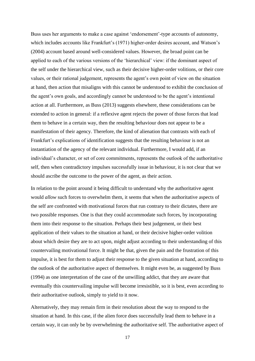Buss uses her arguments to make a case against 'endorsement'-type accounts of autonomy, which includes accounts like Frankfurt's (1971) higher-order desires account, and Watson's (2004) account based around well-considered values. However, the broad point can be applied to each of the various versions of the 'hierarchical' view: if the dominant aspect of the self under the hierarchical view, such as their decisive higher-order volitions, or their core values, or their rational judgement, represents the agent's own point of view on the situation at hand, then action that misaligns with this cannot be understood to exhibit the conclusion of the agent's own goals, and accordingly cannot be understood to be the agent's intentional action at all. Furthermore, as Buss (2013) suggests elsewhere, these considerations can be extended to action in general: if a reflexive agent rejects the power of those forces that lead them to behave in a certain way, then the resulting behaviour does not appear to be a manifestation of their agency. Therefore, the kind of alienation that contrasts with each of Frankfurt's explications of identification suggests that the resulting behaviour is not an instantiation of the agency of the relevant individual. Furthermore, I would add, if an individual's character, or set of core commitments, represents the outlook of the authoritative self, then when contradictory impulses successfully issue in behaviour, it is not clear that we should ascribe the outcome to the power of the agent, as their action.

In relation to the point around it being difficult to understand why the authoritative agent would *allow* such forces to overwhelm them, it seems that when the authoritative aspects of the self are confronted with motivational forces that run contrary to their dictates, there are two possible responses. One is that they could accommodate such forces, by incorporating them into their response to the situation. Perhaps their best judgement, or their best application of their values to the situation at hand, or their decisive higher-order volition about which desire they are to act upon, might adjust according to their understanding of this countervailing motivational force. It might be that, given the pain and the frustration of this impulse, it is best for them to adjust their response to the given situation at hand, according to the outlook of the authoritative aspect of themselves. It might even be, as suggested by Buss (1994) as one interpretation of the case of the unwilling addict, that they are aware that eventually this countervailing impulse will become irresistible, so it is best, even according to their authoritative outlook, simply to yield to it now.

Alternatively, they may remain firm in their resolution about the way to respond to the situation at hand. In this case, if the alien force does successfully lead them to behave in a certain way, it can only be by overwhelming the authoritative self. The authoritative aspect of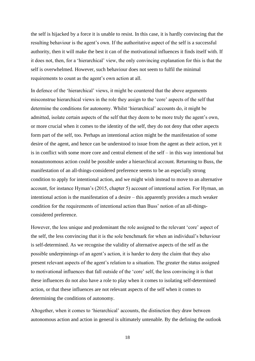the self is hijacked by a force it is unable to resist. In this case, it is hardly convincing that the resulting behaviour is the agent's own. If the authoritative aspect of the self is a successful authority, then it will make the best it can of the motivational influences it finds itself with. If it does not, then, for a 'hierarchical' view, the only convincing explanation for this is that the self is overwhelmed. However, such behaviour does not seem to fulfil the minimal requirements to count as the agent's own action at all.

In defence of the 'hierarchical' views, it might be countered that the above arguments misconstrue hierarchical views in the role they assign to the 'core' aspects of the self that determine the conditions for autonomy. Whilst 'hierarchical' accounts do, it might be admitted, isolate certain aspects of the self that they deem to be more truly the agent's own, or more crucial when it comes to the identity of the self, they do not deny that other aspects form part of the self, too. Perhaps an intentional action might be the manifestation of some desire of the agent, and hence can be understood to issue from the agent as their action, yet it is in conflict with some more core and central element of the self – in this way intentional but nonautonomous action could be possible under a hierarchical account. Returning to Buss, the manifestation of an all-things-considered preference seems to be an especially strong condition to apply for intentional action, and we might wish instead to move to an alternative account, for instance Hyman's (2015, chapter 5) account of intentional action. For Hyman, an intentional action is the manifestation of a desire – this apparently provides a much weaker condition for the requirements of intentional action than Buss' notion of an all-thingsconsidered preference.

However, the less unique and predominant the role assigned to the relevant 'core' aspect of the self, the less convincing that it is the sole benchmark for when an individual's behaviour is self-determined. As we recognise the validity of alternative aspects of the self as the possible underpinnings of an agent's action, it is harder to deny the claim that they also present relevant aspects of the agent's relation to a situation. The greater the status assigned to motivational influences that fall outside of the 'core' self, the less convincing it is that these influences do not also have a role to play when it comes to isolating self-determined action, or that these influences are not relevant aspects of the self when it comes to determining the conditions of autonomy.

Altogether, when it comes to 'hierarchical' accounts, the distinction they draw between autonomous action and action in general is ultimately untenable. By the defining the outlook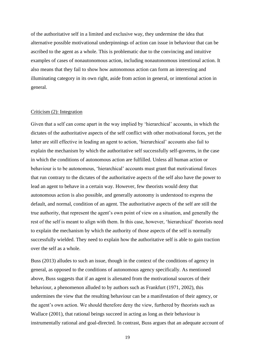of the authoritative self in a limited and exclusive way, they undermine the idea that alternative possible motivational underpinnings of action can issue in behaviour that can be ascribed to the agent as a whole. This is problematic due to the convincing and intuitive examples of cases of nonautonomous action, including nonautonomous intentional action. It also means that they fail to show how autonomous action can form an interesting and illuminating category in its own right, aside from action in general, or intentional action in general.

## Criticism (2): Integration

Given that a self can come apart in the way implied by 'hierarchical' accounts, in which the dictates of the authoritative aspects of the self conflict with other motivational forces, yet the latter are still effective in leading an agent to action, 'hierarchical' accounts also fail to explain the mechanism by which the authoritative self successfully self-governs, in the case in which the conditions of autonomous action are fulfilled. Unless all human action or behaviour is to be autonomous, 'hierarchical' accounts must grant that motivational forces that run contrary to the dictates of the authoritative aspects of the self also have the power to lead an agent to behave in a certain way. However, few theorists would deny that autonomous action is also possible, and generally autonomy is understood to express the default, and normal, condition of an agent. The authoritative aspects of the self are still the true authority, that represent the agent's own point of view on a situation, and generally the rest of the self is meant to align with them. In this case, however, 'hierarchical' theorists need to explain the mechanism by which the authority of those aspects of the self is normally successfully wielded. They need to explain how the authoritative self is able to gain traction over the self as a whole.

Buss (2013) alludes to such an issue, though in the context of the conditions of agency in general, as opposed to the conditions of autonomous agency specifically. As mentioned above, Buss suggests that if an agent is alienated from the motivational sources of their behaviour, a phenomenon alluded to by authors such as Frankfurt (1971, 2002), this undermines the view that the resulting behaviour can be a manifestation of their agency, or the agent's own action. We should therefore deny the view, furthered by theorists such as Wallace (2001), that rational beings succeed in acting as long as their behaviour is instrumentally rational and goal-directed. In contrast, Buss argues that an adequate account of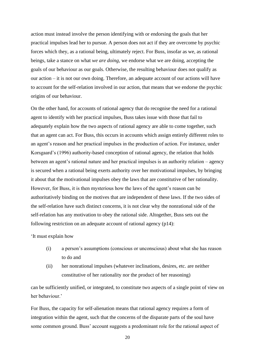action must instead involve the person identifying with or endorsing the goals that her practical impulses lead her to pursue. A person does not act if they are overcome by psychic forces which they, as a rational being, ultimately reject. For Buss, insofar as we, as rational beings, take a stance on what *we are doing*, we endorse what we are doing, accepting the goals of our behaviour as our goals. Otherwise, the resulting behaviour does not qualify as our action – it is not our own doing. Therefore, an adequate account of our actions will have to account for the self-relation involved in our action, that means that we endorse the psychic origins of our behaviour.

On the other hand, for accounts of rational agency that do recognise the need for a rational agent to identify with her practical impulses, Buss takes issue with those that fail to adequately explain how the two aspects of rational agency are able to come together, such that an agent can act. For Buss, this occurs in accounts which assign entirely different roles to an agent's reason and her practical impulses in the production of action. For instance, under Korsgaard's (1996) authority-based conception of rational agency, the relation that holds between an agent's rational nature and her practical impulses is an authority relation – agency is secured when a rational being exerts authority over her motivational impulses, by bringing it about that the motivational impulses obey the laws that are constitutive of her rationality. However, for Buss, it is then mysterious how the laws of the agent's reason can be authoritatively binding on the motives that are independent of these laws. If the two sides of the self-relation have such distinct concerns, it is not clear why the nonrational side of the self-relation has any motivation to obey the rational side. Altogether, Buss sets out the following restriction on an adequate account of rational agency (p14):

'It must explain how

- (i) a person's assumptions (conscious or unconscious) about what she has reason to do and
- (ii) her nonrational impulses (whatever inclinations, desires, etc. are neither constitutive of her rationality nor the product of her reasoning)

can be sufficiently unified, or integrated, to constitute two aspects of a single point of view on her behaviour.'

For Buss, the capacity for self-alienation means that rational agency requires a form of integration within the agent, such that the concerns of the disparate parts of the soul have some common ground. Buss' account suggests a predominant role for the rational aspect of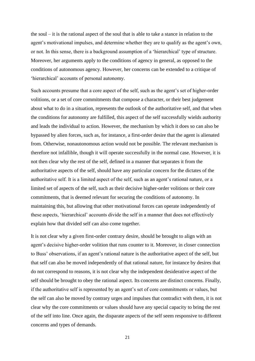the soul – it is the rational aspect of the soul that is able to take a stance in relation to the agent's motivational impulses, and determine whether they are to qualify as the agent's own, or not. In this sense, there is a background assumption of a 'hierarchical' type of structure. Moreover, her arguments apply to the conditions of agency in general, as opposed to the conditions of autonomous agency. However, her concerns can be extended to a critique of 'hierarchical' accounts of personal autonomy.

Such accounts presume that a core aspect of the self, such as the agent's set of higher-order volitions, or a set of core commitments that compose a character, or their best judgement about what to do in a situation, represents the outlook of the authoritative self, and that when the conditions for autonomy are fulfilled, this aspect of the self successfully wields authority and leads the individual to action. However, the mechanism by which it does so can also be bypassed by alien forces, such as, for instance, a first-order desire that the agent is alienated from. Otherwise, nonautonomous action would not be possible. The relevant mechanism is therefore not infallible, though it will operate successfully in the normal case. However, it is not then clear why the rest of the self, defined in a manner that separates it from the authoritative aspects of the self, should have any particular concern for the dictates of the authoritative self. It is a limited aspect of the self, such as an agent's rational nature, or a limited set of aspects of the self, such as their decisive higher-order volitions or their core commitments, that is deemed relevant for securing the conditions of autonomy. In maintaining this, but allowing that other motivational forces can operate independently of these aspects, 'hierarchical' accounts divide the self in a manner that does not effectively explain how that divided self can also come together.

It is not clear why a given first-order contrary desire, should be brought to align with an agent's decisive higher-order volition that runs counter to it. Moreover, in closer connection to Buss' observations, if an agent's rational nature is the authoritative aspect of the self, but that self can also be moved independently of that rational nature, for instance by desires that do not correspond to reasons, it is not clear why the independent desiderative aspect of the self should be brought to obey the rational aspect. Its concerns are distinct concerns. Finally, if the authoritative self is represented by an agent's set of core commitments or values, but the self can also be moved by contrary urges and impulses that contradict with them, it is not clear why the core commitments or values should have any special capacity to bring the rest of the self into line. Once again, the disparate aspects of the self seem responsive to different concerns and types of demands.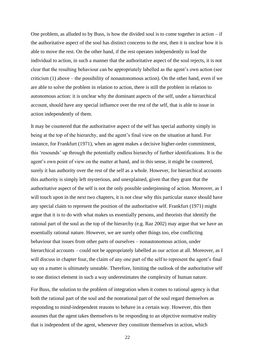One problem, as alluded to by Buss, is how the divided soul is to come together in action  $-$  if the authoritative aspect of the soul has distinct concerns to the rest, then it is unclear how it is able to move the rest. On the other hand, if the rest operates independently to lead the individual to action, in such a manner that the authoritative aspect of the soul rejects, it is not clear that the resulting behaviour can be appropriately labelled as the agent's own action (see criticism (1) above – the possibility of nonautonomous action). On the other hand, even if we are able to solve the problem in relation to action, there is still the problem in relation to autonomous action: it is unclear why the dominant aspects of the self, under a hierarchical account, should have any special influence over the rest of the self, that is able to issue in action independently of them.

It may be countered that the authoritative aspect of the self has special authority simply in being at the top of the hierarchy, and the agent's final view on the situation at hand. For instance, for Frankfurt (1971), when an agent makes a decisive higher-order commitment, this 'resounds' up through the potentially endless hierarchy of further identifications. It is the agent's own point of view on the matter at hand, and in this sense, it might be countered, surely it has authority over the rest of the self as a whole. However, for hierarchical accounts this authority is simply left mysterious, and unexplained, given that they grant that the authoritative aspect of the self is not the only possible underpinning of action. Moreover, as I will touch upon in the next two chapters, it is not clear why this particular stance should have any special claim to represent the position of the authoritative self. Frankfurt (1971) might argue that it is to do with what makes us essentially persons, and theorists that identify the rational part of the soul as the top of the hierarchy (e.g. Raz 2002) may argue that we have an essentially rational nature. However, we are surely other things too, else conflicting behaviour that issues from other parts of ourselves – nonautonomous action, under hierarchical accounts – could not be appropriately labelled as our action at all. Moreover, as I will discuss in chapter four, the claim of any one part of the self to represent the agent's final say on a matter is ultimately unstable. Therefore, limiting the outlook of the authoritative self to one distinct element in such a way underestimates the complexity of human nature.

For Buss, the solution to the problem of integration when it comes to rational agency is that both the rational part of the soul and the nonrational part of the soul regard themselves as responding to mind-independent reasons to behave in a certain way. However, this then assumes that the agent takes themselves to be responding to an objective normative reality that is independent of the agent, whenever they constitute themselves in action, which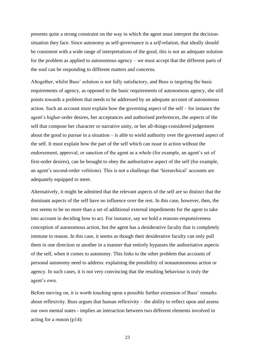presents quite a strong constraint on the way in which the agent must interpret the decisionsituation they face. Since autonomy as self-governance is a *self*-relation, that ideally should be consistent with a wide range of interpretations of the good, this is not an adequate solution for the problem as applied to autonomous agency – we must accept that the different parts of the soul can be responding to different matters and concerns.

Altogether, whilst Buss' solution is not fully satisfactory, and Buss is targeting the basic requirements of agency, as opposed to the basic requirements of autonomous agency, she still points towards a problem that needs to be addressed by an adequate account of autonomous action. Such an account must explain how the governing aspect of the self – for instance the agent's higher-order desires, her acceptances and authorised preferences, the aspects of the self that compose her character or narrative unity, or her all-things-considered judgement about the good to pursue in a situation – is able to wield authority over the governed aspect of the self. It must explain how the part of the self which can issue in action without the endorsement, approval, or sanction of the agent as a whole (for example, an agent's set of first-order desires), can be brought to obey the authoritative aspect of the self (for example, an agent's second-order volitions). This is not a challenge that 'hierarchical' accounts are adequately equipped to meet.

Alternatively, it might be admitted that the relevant aspects of the self are so distinct that the dominant aspects of the self have no influence over the rest. In this case, however, then, the rest seems to be no more than a set of additional external impediments for the agent to take into account in deciding how to act. For instance, say we hold a reasons-responsiveness conception of autonomous action, but the agent has a desiderative faculty that is completely immune to reason. In this case, it seems as though their desiderative faculty can only pull them in one direction or another in a manner that entirely bypasses the authoritative aspects of the self, when it comes to autonomy. This links to the other problem that accounts of personal autonomy need to address: explaining the possibility of nonautonomous action or agency. In such cases, it is not very convincing that the resulting behaviour is truly the agent's own.

Before moving on, it is worth touching upon a possible further extension of Buss' remarks about reflexivity. Buss argues that human reflexivity – the ability to reflect upon and assess our own mental states - implies an interaction between two different elements involved in acting for a reason (p14):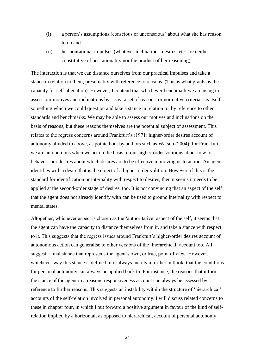- (i) a person's assumptions (conscious or unconscious) about what she has reason to do and
- (ii) her nonrational impulses (whatever inclinations, desires, etc. are neither constitutive of her rationality nor the product of her reasoning)

The interaction is that we can distance ourselves from our practical impulses and take a stance in relation to them, presumably with reference to reasons. (This is what grants us the capacity for self-alienation). However, I contend that whichever benchmark we are using to assess our motives and inclinations by  $-$  say, a set of reasons, or normative criteria  $-$  is itself something which we could question and take a stance in relation to, by reference to other standards and benchmarks. We may be able to assess our motives and inclinations on the basis of reasons, but these reasons themselves are the potential subject of assessment. This relates to the regress concerns around Frankfurt's (1971) higher-order desires account of autonomy alluded to above, as pointed out by authors such as Watson (2004): for Frankfurt, we are autonomous when we act on the basis of our higher-order volitions about how to behave – our desires about which desires are to be effective in moving us to action. An agent identifies with a desire that is the object of a higher-order volition. However, if this is the standard for identification or internality with respect to desires, then it seems it needs to be applied at the second-order stage of desires, too. It is not convincing that an aspect of the self that the agent does not already identify with can be used to ground internality with respect to mental states.

Altogether, whichever aspect is chosen as the 'authoritative' aspect of the self, it seems that the agent can have the capacity to distance themselves from it, and take a stance with respect to it. This suggests that the regress issues around Frankfurt's higher-order desires account of autonomous action can generalise to other versions of the 'hierarchical' account too. All suggest a final stance that represents the agent's own, or true, point of view. However, whichever way this stance is defined, it is always merely a further outlook, that the conditions for personal autonomy can always be applied back to. For instance, the reasons that inform the stance of the agent in a reasons-responsiveness account can always be assessed by reference to further reasons. This suggests an instability within the structure of 'hierarchical' accounts of the self-relation involved in personal autonomy. I will discuss related concerns to these in chapter four, in which I put forward a positive argument in favour of the kind of selfrelation implied by a horizontal, as opposed to hierarchical, account of personal autonomy.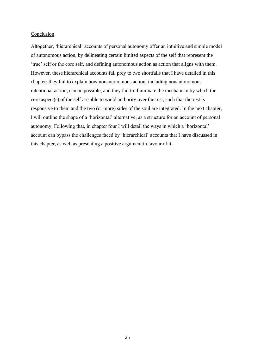#### Conclusion

Altogether, 'hierarchical' accounts of personal autonomy offer an intuitive and simple model of autonomous action, by delineating certain limited aspects of the self that represent the 'true' self or the core self, and defining autonomous action as action that aligns with them. However, these hierarchical accounts fall prey to two shortfalls that I have detailed in this chapter: they fail to explain how nonautonomous action, including nonautonomous intentional action, can be possible, and they fail to illuminate the mechanism by which the core aspect(s) of the self are able to wield authority over the rest, such that the rest is responsive to them and the two (or more) sides of the soul are integrated. In the next chapter, I will outline the shape of a 'horizontal' alternative, as a structure for an account of personal autonomy. Following that, in chapter four I will detail the ways in which a 'horizontal' account can bypass the challenges faced by 'hierarchical' accounts that I have discussed in this chapter, as well as presenting a positive argument in favour of it.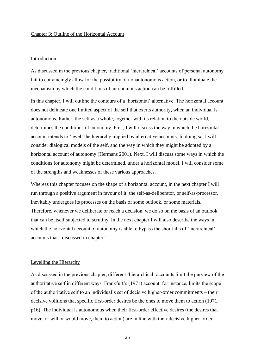#### Chapter 3: Outline of the Horizontal Account

#### Introduction

As discussed in the previous chapter, traditional 'hierarchical' accounts of personal autonomy fail to convincingly allow for the possibility of nonautonomous action, or to illuminate the mechanism by which the conditions of autonomous action can be fulfilled.

In this chapter, I will outline the contours of a 'horizontal' alternative. The horizontal account does not delineate one limited aspect of the self that exerts authority, when an individual is autonomous. Rather, the self as a whole, together with its relation to the outside world, determines the conditions of autonomy. First, I will discuss the way in which the horizontal account intends to 'level' the hierarchy implied by alternative accounts. In doing so, I will consider dialogical models of the self, and the way in which they might be adopted by a horizontal account of autonomy (Hermans 2001). Next, I will discuss some ways in which the conditions for autonomy might be determined, under a horizontal model. I will consider some of the strengths and weaknesses of these various approaches.

Whereas this chapter focuses on the shape of a horizontal account, in the next chapter I will run through a positive argument in favour of it: the self-as-deliberator, or self-as-processor, inevitably undergoes its processes on the basis of some outlook, or some materials. Therefore, whenever we deliberate or reach a decision, we do so on the basis of an outlook that can be itself subjected to scrutiny. In the next chapter I will also describe the ways in which the horizontal account of autonomy is able to bypass the shortfalls of 'hierarchical' accounts that I discussed in chapter 1.

## Levelling the Hierarchy

As discussed in the previous chapter, different 'hierarchical' accounts limit the purview of the authoritative self in different ways. Frankfurt's (1971) account, for instance, limits the scope of the authoritative self to an individual's set of decisive higher-order commitments – their decisive volitions that specific first-order desires be the ones to move them to action (1971, p16). The individual is autonomous when their first-order effective desires (the desires that move, or will or would move, them to action) are in line with their decisive higher-order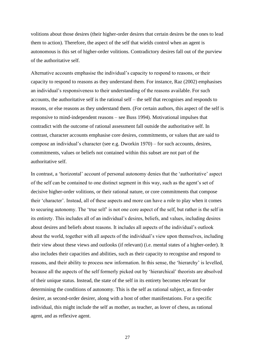volitions about those desires (their higher-order desires that certain desires be the ones to lead them to action). Therefore, the aspect of the self that wields control when an agent is autonomous is this set of higher-order volitions. Contradictory desires fall out of the purview of the authoritative self.

Alternative accounts emphasise the individual's capacity to respond to reasons, or their capacity to respond to reasons as they understand them. For instance, Raz (2002) emphasises an individual's responsiveness to their understanding of the reasons available. For such accounts, the authoritative self is the rational self – the self that recognises and responds to reasons, or else reasons as they understand them. (For certain authors, this aspect of the self is responsive to mind-independent reasons – see Buss 1994). Motivational impulses that contradict with the outcome of rational assessment fall outside the authoritative self. In contrast, character accounts emphasise core desires, commitments, or values that are said to compose an individual's character (see e.g. Dworkin 1970) – for such accounts, desires, commitments, values or beliefs not contained within this subset are not part of the authoritative self.

In contrast, a 'horizontal' account of personal autonomy denies that the 'authoritative' aspect of the self can be contained to one distinct segment in this way, such as the agent's set of decisive higher-order volitions, or their rational nature, or core commitments that compose their 'character'. Instead, all of these aspects and more can have a role to play when it comes to securing autonomy. The 'true self' is not one core aspect of the self, but rather is the self in its entirety. This includes all of an individual's desires, beliefs, and values, including desires about desires and beliefs about reasons. It includes all aspects of the individual's outlook about the world, together with all aspects of the individual's view upon themselves, including their view about these views and outlooks (if relevant) (i.e. mental states of a higher-order). It also includes their capacities and abilities, such as their capacity to recognise and respond to reasons, and their ability to process new information. In this sense, the 'hierarchy' is levelled, because all the aspects of the self formerly picked out by 'hierarchical' theorists are absolved of their unique status. Instead, the state of the self in its entirety becomes relevant for determining the conditions of autonomy. This is the self as rational subject, as first-order desirer, as second-order desirer, along with a host of other manifestations. For a specific individual, this might include the self as mother, as teacher, as lover of chess, as rational agent, and as reflexive agent.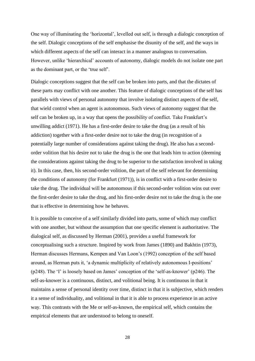One way of illuminating the 'horizontal', levelled out self, is through a dialogic conception of the self. Dialogic conceptions of the self emphasise the disunity of the self, and the ways in which different aspects of the self can interact in a manner analogous to conversation. However, unlike 'hierarchical' accounts of autonomy, dialogic models do not isolate one part as the dominant part, or the 'true self'.

Dialogic conceptions suggest that the self can be broken into parts, and that the dictates of these parts may conflict with one another. This feature of dialogic conceptions of the self has parallels with views of personal autonomy that involve isolating distinct aspects of the self, that wield control when an agent is autonomous. Such views of autonomy suggest that the self can be broken up, in a way that opens the possibility of conflict. Take Frankfurt's unwilling addict (1971). He has a first-order desire to take the drug (as a result of his addiction) together with a first-order desire not to take the drug (in recognition of a potentially large number of considerations against taking the drug). He also has a secondorder volition that his desire not to take the drug is the one that leads him to action (deeming the considerations against taking the drug to be superior to the satisfaction involved in taking it). In this case, then, his second-order volition, the part of the self relevant for determining the conditions of autonomy (for Frankfurt (1971)), is in conflict with a first-order desire to take the drug. The individual will be autonomous if this second-order volition wins out over the first-order desire to take the drug, and his first-order desire not to take the drug is the one that is effective in determining how he behaves.

It is possible to conceive of a self similarly divided into parts, some of which may conflict with one another, but without the assumption that one specific element is authoritative. The dialogical self, as discussed by Herman (2001), provides a useful framework for conceptualising such a structure. Inspired by work from James (1890) and Bakhtin (1973), Herman discusses Hermans, Kempen and Van Loon's (1992) conception of the self based around, as Herman puts it, 'a dynamic multiplicity of relatively autonomous I-positions' (p248). The 'I' is loosely based on James' conception of the 'self-as-knower' (p246). The self-as-knower is a continuous, distinct, and volitional being. It is continuous in that it maintains a sense of personal identity over time, distinct in that it is subjective, which renders it a sense of individuality, and volitional in that it is able to process experience in an active way. This contrasts with the Me or self-as-known, the empirical self, which contains the empirical elements that are understood to belong to oneself.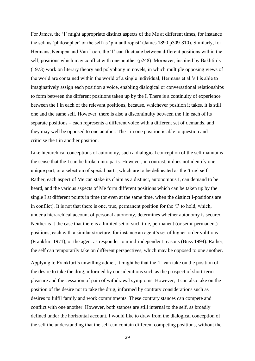For James, the 'I' might appropriate distinct aspects of the Me at different times, for instance the self as 'philosopher' or the self as 'philanthropist' (James 1890 p309-310). Similarly, for Hermans, Kempen and Van Loon, the 'I' can fluctuate between different positions within the self, positions which may conflict with one another (p248). Moreover, inspired by Bakhtin's (1973) work on literary theory and polyphony in novels, in which multiple opposing views of the world are contained within the world of a single individual, Hermans et al.'s I is able to imaginatively assign each position a voice, enabling dialogical or conversational relationships to form between the different positions taken up by the I. There is a continuity of experience between the I in each of the relevant positions, because, whichever position it takes, it is still one and the same self. However, there is also a discontinuity between the I in each of its separate positions – each represents a different voice with a different set of demands, and they may well be opposed to one another. The I in one position is able to question and criticise the I in another position.

Like hierarchical conceptions of autonomy, such a dialogical conception of the self maintains the sense that the I can be broken into parts. However, in contrast, it does not identify one unique part, or a selection of special parts, which are to be delineated as the 'true' self. Rather, each aspect of Me can stake its claim as a distinct, autonomous I, can demand to be heard, and the various aspects of Me form different positions which can be taken up by the single I at different points in time (or even at the same time, when the distinct I-positions are in conflict). It is not that there is one, true, permanent position for the 'I' to hold, which, under a hierarchical account of personal autonomy, determines whether autonomy is secured. Neither is it the case that there is a limited set of such true, permanent (or semi-permanent) positions, each with a similar structure, for instance an agent's set of higher-order volitions (Frankfurt 1971), or the agent as responder to mind-independent reasons (Buss 1994). Rather, the self can temporarily take on different perspectives, which may be opposed to one another.

Applying to Frankfurt's unwilling addict, it might be that the 'I' can take on the position of the desire to take the drug, informed by considerations such as the prospect of short-term pleasure and the cessation of pain of withdrawal symptoms. However, it can also take on the position of the desire not to take the drug, informed by contrary considerations such as desires to fulfil family and work commitments. These contrary stances can compete and conflict with one another. However, both stances are still internal to the self, as broadly defined under the horizontal account. I would like to draw from the dialogical conception of the self the understanding that the self can contain different competing positions, without the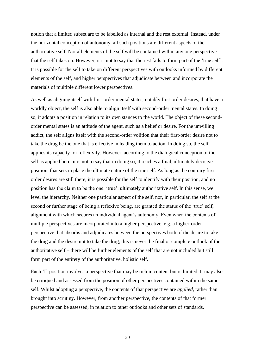notion that a limited subset are to be labelled as internal and the rest external. Instead, under the horizontal conception of autonomy, all such positions are different aspects of the authoritative self. Not all elements of the self will be contained within any one perspective that the self takes on. However, it is not to say that the rest fails to form part of the 'true self'. It is possible for the self to take on different perspectives with outlooks informed by different elements of the self, and higher perspectives that adjudicate between and incorporate the materials of multiple different lower perspectives.

As well as aligning itself with first-order mental states, notably first-order desires, that have a worldly object, the self is also able to align itself with second-order mental states. In doing so, it adopts a position in relation to its own stances to the world. The object of these secondorder mental states is an attitude of the agent, such as a belief or desire. For the unwilling addict, the self aligns itself with the second-order volition that their first-order desire not to take the drug be the one that is effective in leading them to action. In doing so, the self applies its capacity for reflexivity. However, according to the dialogical conception of the self as applied here, it is not to say that in doing so, it reaches a final, ultimately decisive position, that sets in place the ultimate nature of the true self. As long as the contrary firstorder desires are still there, it is possible for the self to identify with their position, and no position has the claim to be the one, 'true', ultimately authoritative self. In this sense, we level the hierarchy. Neither one particular aspect of the self, nor, in particular, the self at the second or further stage of being a reflexive being, are granted the status of the 'true' self, alignment with which secures an individual agent's autonomy. Even when the contents of multiple perspectives are incorporated into a higher perspective, e.g. a higher-order perspective that absorbs and adjudicates between the perspectives both of the desire to take the drug and the desire not to take the drug, this is never the final or complete outlook of the authoritative self – there will be further elements of the self that are not included but still form part of the entirety of the authoritative, holistic self.

Each 'I'-position involves a perspective that may be rich in content but is limited. It may also be critiqued and assessed from the position of other perspectives contained within the same self. Whilst adopting a perspective, the contents of that perspective are *applied*, rather than brought into scrutiny. However, from another perspective, the contents of that former perspective can be assessed, in relation to other outlooks and other sets of standards.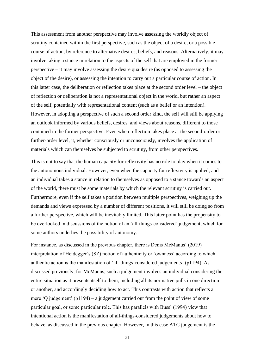This assessment from another perspective may involve assessing the worldly object of scrutiny contained within the first perspective, such as the object of a desire, or a possible course of action, by reference to alternative desires, beliefs, and reasons. Alternatively, it may involve taking a stance in relation to the aspects of the self that are employed in the former perspective – it may involve assessing the desire qua desire (as opposed to assessing the object of the desire), or assessing the intention to carry out a particular course of action. In this latter case, the deliberation or reflection takes place at the second order level – the object of reflection or deliberation is not a representational object in the world, but rather an aspect of the self, potentially with representational content (such as a belief or an intention). However, in adopting a perspective of such a second order kind, the self will still be applying an outlook informed by various beliefs, desires, and views about reasons, different to those contained in the former perspective. Even when reflection takes place at the second-order or further-order level, it, whether consciously or unconsciously, involves the application of materials which can themselves be subjected to scrutiny, from other perspectives.

This is not to say that the human capacity for reflexivity has no role to play when it comes to the autonomous individual. However, even when the capacity for reflexivity is applied, and an individual takes a stance in relation to themselves as opposed to a stance towards an aspect of the world, there must be some materials by which the relevant scrutiny is carried out. Furthermore, even if the self takes a position between multiple perspectives, weighing up the demands and views expressed by a number of different positions, it will still be doing so from a further perspective, which will be inevitably limited. This latter point has the propensity to be overlooked in discussions of the notion of an 'all-things-considered' judgement, which for some authors underlies the possibility of autonomy.

For instance, as discussed in the previous chapter, there is Denis McManus' (2019) interpretation of Heidegger's (SZ) notion of authenticity or 'ownness' according to which authentic action is the manifestation of 'all-things-considered judgements' (p1194). As discussed previously, for McManus, such a judgement involves an individual considering the entire situation as it presents itself to them, including all its normative pulls in one direction or another, and accordingly deciding how to act. This contrasts with action that reflects a mere 'Q judgement' (p1194) – a judgement carried out from the point of view of some particular goal, or some particular role. This has parallels with Buss' (1994) view that intentional action is the manifestation of all-things-considered judgements about how to behave, as discussed in the previous chapter. However, in this case ATC judgement is the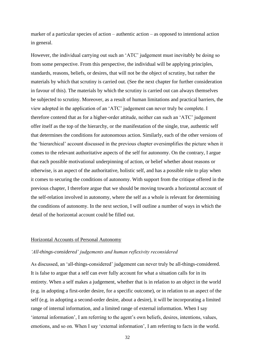marker of a particular species of action – authentic action – as opposed to intentional action in general.

However, the individual carrying out such an 'ATC' judgement must inevitably be doing so from some perspective. From this perspective, the individual will be applying principles, standards, reasons, beliefs, or desires, that will not be the object of scrutiny, but rather the materials by which that scrutiny is carried out. (See the next chapter for further consideration in favour of this). The materials by which the scrutiny is carried out can always themselves be subjected to scrutiny. Moreover, as a result of human limitations and practical barriers, the view adopted in the application of an 'ATC' judgement can never truly be complete. I therefore contend that as for a higher-order attitude, neither can such an 'ATC' judgement offer itself as the top of the hierarchy, or the manifestation of the single, true, authentic self that determines the conditions for autonomous action. Similarly, each of the other versions of the 'hierarchical' account discussed in the previous chapter oversimplifies the picture when it comes to the relevant authoritative aspects of the self for autonomy. On the contrary, I argue that each possible motivational underpinning of action, or belief whether about reasons or otherwise, is an aspect of the authoritative, holistic self, and has a possible role to play when it comes to securing the conditions of autonomy. With support from the critique offered in the previous chapter, I therefore argue that we should be moving towards a horizontal account of the self-relation involved in autonomy, where the self as a whole is relevant for determining the conditions of autonomy. In the next section, I will outline a number of ways in which the detail of the horizontal account could be filled out.

## Horizontal Accounts of Personal Autonomy

## *'All-things-considered' judgements and human reflexivity reconsidered*

As discussed, an 'all-things-considered' judgement can never truly be all-things-considered. It is false to argue that a self can ever fully account for what a situation calls for in its entirety. When a self makes a judgement, whether that is in relation to an object in the world (e.g. in adopting a first-order desire, for a specific outcome), or in relation to an aspect of the self (e.g. in adopting a second-order desire, about a desire), it will be incorporating a limited range of internal information, and a limited range of external information. When I say 'internal information', I am referring to the agent's own beliefs, desires, intentions, values, emotions, and so on. When I say 'external information', I am referring to facts in the world.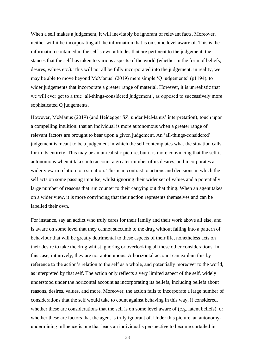When a self makes a judgement, it will inevitably be ignorant of relevant facts. Moreover, neither will it be incorporating all the information that is on some level aware of. This is the information contained in the self's own attitudes that are pertinent to the judgement, the stances that the self has taken to various aspects of the world (whether in the form of beliefs, desires, values etc.). This will not all be fully incorporated into the judgement. In reality, we may be able to move beyond McManus' (2019) mere simple 'Q judgements' (p1194), to wider judgements that incorporate a greater range of material. However, it is unrealistic that we will ever get to a true 'all-things-considered judgement', as opposed to successively more sophisticated Q judgements.

However, McManus (2019) (and Heidegger SZ, under McManus' interpretation), touch upon a compelling intuition: that an individual is more autonomous when a greater range of relevant factors are brought to bear upon a given judgement. An 'all-things-considered' judgement is meant to be a judgement in which the self contemplates what the situation calls for in its entirety. This may be an unrealistic picture, but it is more convincing that the self is autonomous when it takes into account a greater number of its desires, and incorporates a wider view in relation to a situation. This is in contrast to actions and decisions in which the self acts on some passing impulse, whilst ignoring their wider set of values and a potentially large number of reasons that run counter to their carrying out that thing. When an agent takes on a wider view, it is more convincing that their action represents themselves and can be labelled their own.

For instance, say an addict who truly cares for their family and their work above all else, and is aware on some level that they cannot succumb to the drug without falling into a pattern of behaviour that will be greatly detrimental to these aspects of their life, nonetheless acts on their desire to take the drug whilst ignoring or overlooking all these other considerations. In this case, intuitively, they are not autonomous. A horizontal account can explain this by reference to the action's relation to the self as a whole, and potentially moreover to the world, as interpreted by that self. The action only reflects a very limited aspect of the self, widely understood under the horizontal account as incorporating its beliefs, including beliefs about reasons, desires, values, and more. Moreover, the action fails to incorporate a large number of considerations that the self would take to count against behaving in this way, if considered, whether these are considerations that the self is on some level aware of (e.g. latent beliefs), or whether these are factors that the agent is truly ignorant of. Under this picture, an autonomyundermining influence is one that leads an individual's perspective to become curtailed in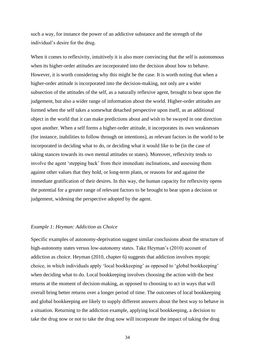such a way, for instance the power of an addictive substance and the strength of the individual's desire for the drug.

When it comes to reflexivity, intuitively it is also more convincing that the self is autonomous when its higher-order attitudes are incorporated into the decision about how to behave. However, it is worth considering why this might be the case. It is worth noting that when a higher-order attitude is incorporated into the decision-making, not only are a wider subsection of the attitudes of the self, as a naturally reflexive agent, brought to bear upon the judgement, but also a wider range of information about the world. Higher-order attitudes are formed when the self takes a somewhat detached perspective upon itself, as an additional object in the world that it can make predictions about and wish to be swayed in one direction upon another. When a self forms a higher-order attitude, it incorporates its own weaknesses (for instance, inabilities to follow through on intentions), as relevant factors in the world to be incorporated in deciding what to do, or deciding what it would like to be (in the case of taking stances towards its own mental attitudes or states). Moreover, reflexivity tends to involve the agent 'stepping back' from their immediate inclinations, and assessing them against other values that they hold, or long-term plans, or reasons for and against the immediate gratification of their desires. In this way, the human capacity for reflexivity opens the potential for a greater range of relevant factors to be brought to bear upon a decision or judgement, widening the perspective adopted by the agent.

## *Example 1: Heyman: Addiction as Choice*

Specific examples of autonomy-deprivation suggest similar conclusions about the structure of high-autonomy states versus low-autonomy states. Take Heyman's (2010) account of addiction as choice. Heyman (2010, chapter 6) suggests that addiction involves myopic choice, in which individuals apply 'local bookkeeping' as opposed to 'global bookkeeping' when deciding what to do. Local bookkeeping involves choosing the action with the best returns at the moment of decision-making, as opposed to choosing to act in ways that will overall bring better returns over a longer period of time. The outcomes of local bookkeeping and global bookkeeping are likely to supply different answers about the best way to behave in a situation. Returning to the addiction example, applying local bookkeeping, a decision to take the drug now or not to take the drug now will incorporate the impact of taking the drug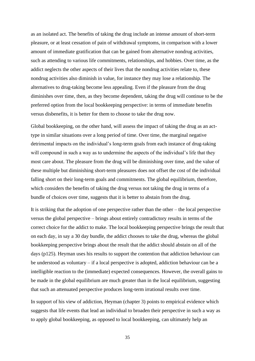as an isolated act. The benefits of taking the drug include an intense amount of short-term pleasure, or at least cessation of pain of withdrawal symptoms, in comparison with a lower amount of immediate gratification that can be gained from alternative nondrug activities, such as attending to various life commitments, relationships, and hobbies. Over time, as the addict neglects the other aspects of their lives that the nondrug activities relate to, these nondrug activities also diminish in value, for instance they may lose a relationship. The alternatives to drug-taking become less appealing. Even if the pleasure from the drug diminishes over time, then, as they become dependent, taking the drug will continue to be the preferred option from the local bookkeeping perspective: in terms of immediate benefits versus disbenefits, it is better for them to choose to take the drug now.

Global bookkeeping, on the other hand, will assess the impact of taking the drug as an acttype in similar situations over a long period of time. Over time, the marginal negative detrimental impacts on the individual's long-term goals from each instance of drug-taking will compound in such a way as to undermine the aspects of the individual's life that they most care about. The pleasure from the drug will be diminishing over time, and the value of these multiple but diminishing short-term pleasures does not offset the cost of the individual falling short on their long-term goals and commitments. The global equilibrium, therefore, which considers the benefits of taking the drug versus not taking the drug in terms of a bundle of choices over time, suggests that it is better to abstain from the drug.

It is striking that the adoption of one perspective rather than the other – the local perspective versus the global perspective – brings about entirely contradictory results in terms of the correct choice for the addict to make. The local bookkeeping perspective brings the result that on each day, in say a 30 day bundle, the addict chooses to take the drug, whereas the global bookkeeping perspective brings about the result that the addict should abstain on all of the days (p125). Heyman uses his results to support the contention that addiction behaviour can be understood as voluntary – if a local perspective is adopted, addiction behaviour can be a intelligible reaction to the (immediate) expected consequences. However, the overall gains to be made in the global equilibrium are much greater than in the local equilibrium, suggesting that such an attenuated perspective produces long-term irrational results over time.

In support of his view of addiction, Heyman (chapter 3) points to empirical evidence which suggests that life events that lead an individual to broaden their perspective in such a way as to apply global bookkeeping, as opposed to local bookkeeping, can ultimately help an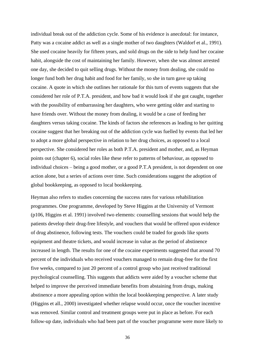individual break out of the addiction cycle. Some of his evidence is anecdotal: for instance, Patty was a cocaine addict as well as a single mother of two daughters (Waldorf et al., 1991). She used cocaine heavily for fifteen years, and sold drugs on the side to help fund her cocaine habit, alongside the cost of maintaining her family. However, when she was almost arrested one day, she decided to quit selling drugs. Without the money from dealing, she could no longer fund both her drug habit and food for her family, so she in turn gave up taking cocaine. A quote in which she outlines her rationale for this turn of events suggests that she considered her role of P.T.A. president, and how bad it would look if she got caught, together with the possibility of embarrassing her daughters, who were getting older and starting to have friends over. Without the money from dealing, it would be a case of feeding her daughters versus taking cocaine. The kinds of factors she references as leading to her quitting cocaine suggest that her breaking out of the addiction cycle was fuelled by events that led her to adopt a more global perspective in relation to her drug choices, as opposed to a local perspective. She considered her roles as both P.T.A. president and mother, and, as Heyman points out (chapter 6), social roles like these refer to patterns of behaviour, as opposed to individual choices – being a good mother, or a good P.T.A president, is not dependent on one action alone, but a series of actions over time. Such considerations suggest the adoption of global bookkeeping, as opposed to local bookkeeping.

Heyman also refers to studies concerning the success rates for various rehabilitation programmes. One programme, developed by Steve Higgins at the University of Vermont (p106, Higgins et al. 1991) involved two elements: counselling sessions that would help the patients develop their drug-free lifestyle, and vouchers that would be offered upon evidence of drug abstinence, following tests. The vouchers could be traded for goods like sports equipment and theatre tickets, and would increase in value as the period of abstinence increased in length. The results for one of the cocaine experiments suggested that around 70 percent of the individuals who received vouchers managed to remain drug-free for the first five weeks, compared to just 20 percent of a control group who just received traditional psychological counselling. This suggests that addicts were aided by a voucher scheme that helped to improve the perceived immediate benefits from abstaining from drugs, making abstinence a more appealing option within the local bookkeeping perspective. A later study (Higgins et all., 2000) investigated whether relapse would occur, once the voucher incentive was removed. Similar control and treatment groups were put in place as before. For each follow-up date, individuals who had been part of the voucher programme were more likely to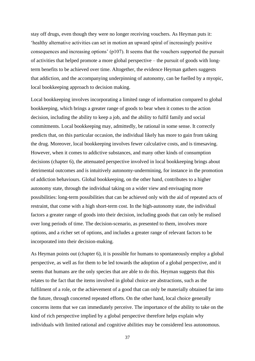stay off drugs, even though they were no longer receiving vouchers. As Heyman puts it: 'healthy alternative activities can set in motion an upward spiral of increasingly positive consequences and increasing options' (p107). It seems that the vouchers supported the pursuit of activities that helped promote a more global perspective – the pursuit of goods with longterm benefits to be achieved over time. Altogether, the evidence Heyman gathers suggests that addiction, and the accompanying underpinning of autonomy, can be fuelled by a myopic, local bookkeeping approach to decision making.

Local bookkeeping involves incorporating a limited range of information compared to global bookkeeping, which brings a greater range of goods to bear when it comes to the action decision, including the ability to keep a job, and the ability to fulfil family and social commitments. Local bookkeeping may, admittedly, be rational in some sense. It correctly predicts that, on this particular occasion, the individual likely has more to gain from taking the drug. Moreover, local bookkeeping involves fewer calculative costs, and is timesaving. However, when it comes to addictive substances, and many other kinds of consumption decisions (chapter 6), the attenuated perspective involved in local bookkeeping brings about detrimental outcomes and is intuitively autonomy-undermining, for instance in the promotion of addiction behaviours. Global bookkeeping, on the other hand, contributes to a higher autonomy state, through the individual taking on a wider view and envisaging more possibilities: long-term possibilities that can be achieved only with the aid of repeated acts of restraint, that come with a high short-term cost. In the high-autonomy state, the individual factors a greater range of goods into their decision, including goods that can only be realised over long periods of time. The decision-scenario, as presented to them, involves more options, and a richer set of options, and includes a greater range of relevant factors to be incorporated into their decision-making.

As Heyman points out (chapter 6), it is possible for humans to spontaneously employ a global perspective, as well as for them to be led towards the adoption of a global perspective, and it seems that humans are the only species that are able to do this. Heyman suggests that this relates to the fact that the items involved in global choice are abstractions, such as the fulfilment of a role, or the achievement of a good that can only be materially obtained far into the future, through concerted repeated efforts. On the other hand, local choice generally concerns items that we can immediately perceive. The importance of the ability to take on the kind of rich perspective implied by a global perspective therefore helps explain why individuals with limited rational and cognitive abilities may be considered less autonomous.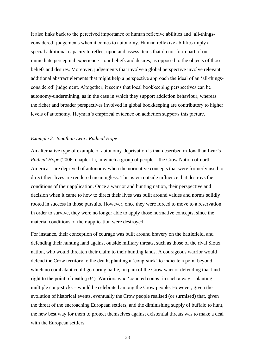It also links back to the perceived importance of human reflexive abilities and 'all-thingsconsidered' judgements when it comes to autonomy. Human reflexive abilities imply a special additional capacity to reflect upon and assess items that do not form part of our immediate perceptual experience – our beliefs and desires, as opposed to the objects of those beliefs and desires. Moreover, judgements that involve a global perspective involve relevant additional abstract elements that might help a perspective approach the ideal of an 'all-thingsconsidered' judgement. Altogether, it seems that local bookkeeping perspectives can be autonomy-undermining, as in the case in which they support addiction behaviour, whereas the richer and broader perspectives involved in global bookkeeping are contributory to higher levels of autonomy. Heyman's empirical evidence on addiction supports this picture.

## *Example 2: Jonathan Lear: Radical Hope*

An alternative type of example of autonomy-deprivation is that described in Jonathan Lear's *Radical Hope* (2006, chapter 1), in which a group of people – the Crow Nation of north America – are deprived of autonomy when the normative concepts that were formerly used to direct their lives are rendered meaningless. This is via outside influence that destroys the conditions of their application. Once a warrior and hunting nation, their perspective and decision when it came to how to direct their lives was built around values and norms solidly rooted in success in those pursuits. However, once they were forced to move to a reservation in order to survive, they were no longer able to apply those normative concepts, since the material conditions of their application were destroyed.

For instance, their conception of courage was built around bravery on the battlefield, and defending their hunting land against outside military threats, such as those of the rival Sioux nation, who would threaten their claim to their hunting lands. A courageous warrior would defend the Crow territory to the death, planting a 'coup-stick' to indicate a point beyond which no combatant could go during battle, on pain of the Crow warrior defending that land right to the point of death (p34). Warriors who 'counted coups' in such a way – planting multiple coup-sticks – would be celebrated among the Crow people. However, given the evolution of historical events, eventually the Crow people realised (or surmised) that, given the threat of the encroaching European settlers, and the diminishing supply of buffalo to hunt, the new best way for them to protect themselves against existential threats was to make a deal with the European settlers.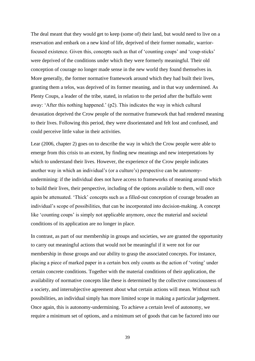The deal meant that they would get to keep (some of) their land, but would need to live on a reservation and embark on a new kind of life, deprived of their former nomadic, warriorfocused existence. Given this, concepts such as that of 'counting coups' and 'coup-sticks' were deprived of the conditions under which they were formerly meaningful. Their old conception of courage no longer made sense in the new world they found themselves in. More generally, the former normative framework around which they had built their lives, granting them a telos, was deprived of its former meaning, and in that way undermined. As Plenty Coups, a leader of the tribe, stated, in relation to the period after the buffalo went away: 'After this nothing happened.' (p2). This indicates the way in which cultural devastation deprived the Crow people of the normative framework that had rendered meaning to their lives. Following this period, they were disorientated and felt lost and confused, and could perceive little value in their activities.

Lear (2006, chapter 2) goes on to describe the way in which the Crow people were able to emerge from this crisis to an extent, by finding new meanings and new interpretations by which to understand their lives. However, the experience of the Crow people indicates another way in which an individual's (or a culture's) perspective can be autonomyundermining: if the individual does not have access to frameworks of meaning around which to build their lives, their perspective, including of the options available to them, will once again be attenuated. 'Thick' concepts such as a filled-out conception of courage broaden an individual's scope of possibilities, that can be incorporated into decision-making. A concept like 'counting coups' is simply not applicable anymore, once the material and societal conditions of its application are no longer in place.

In contrast, as part of our membership in groups and societies, we are granted the opportunity to carry out meaningful actions that would not be meaningful if it were not for our membership in those groups and our ability to grasp the associated concepts. For instance, placing a piece of marked paper in a certain box only counts as the action of 'voting' under certain concrete conditions. Together with the material conditions of their application, the availability of normative concepts like these is determined by the collective consciousness of a society, and intersubjective agreement about what certain actions will mean. Without such possibilities, an individual simply has more limited scope in making a particular judgement. Once again, this is autonomy-undermining. To achieve a certain level of autonomy, we require a minimum set of options, and a minimum set of goods that can be factored into our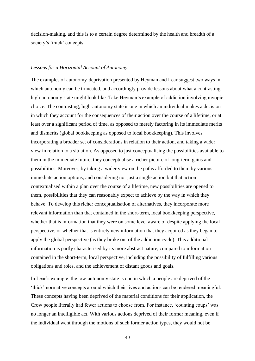decision-making, and this is to a certain degree determined by the health and breadth of a society's 'thick' concepts.

#### *Lessons for a Horizontal Account of Autonomy*

The examples of autonomy-deprivation presented by Heyman and Lear suggest two ways in which autonomy can be truncated, and accordingly provide lessons about what a contrasting high-autonomy state might look like. Take Heyman's example of addiction involving myopic choice. The contrasting, high-autonomy state is one in which an individual makes a decision in which they account for the consequences of their action over the course of a lifetime, or at least over a significant period of time, as opposed to merely factoring in its immediate merits and dismerits (global bookkeeping as opposed to local bookkeeping). This involves incorporating a broader set of considerations in relation to their action, and taking a wider view in relation to a situation. As opposed to just conceptualising the possibilities available to them in the immediate future, they conceptualise a richer picture of long-term gains and possibilities. Moreover, by taking a wider view on the paths afforded to them by various immediate action options, and considering not just a single action but that action contextualised within a plan over the course of a lifetime, new possibilities are opened to them, possibilities that they can reasonably expect to achieve by the way in which they behave. To develop this richer conceptualisation of alternatives, they incorporate more relevant information than that contained in the short-term, local bookkeeping perspective, whether that is information that they were on some level aware of despite applying the local perspective, or whether that is entirely new information that they acquired as they began to apply the global perspective (as they broke out of the addiction cycle). This additional information is partly characterised by its more abstract nature, compared to information contained in the short-term, local perspective, including the possibility of fulfilling various obligations and roles, and the achievement of distant goods and goals.

In Lear's example, the low-autonomy state is one in which a people are deprived of the 'thick' normative concepts around which their lives and actions can be rendered meaningful. These concepts having been deprived of the material conditions for their application, the Crow people literally had fewer actions to choose from. For instance, 'counting coups' was no longer an intelligible act. With various actions deprived of their former meaning, even if the individual went through the motions of such former action types, they would not be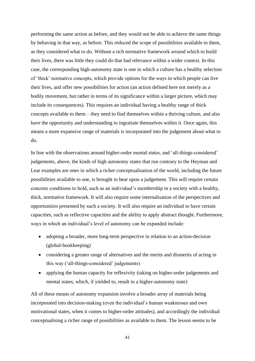performing the same action as before, and they would not be able to achieve the same things by behaving in that way, as before. This reduced the scope of possibilities available to them, as they considered what to do. Without a rich normative framework around which to build their lives, there was little they could do that had relevance within a wider context. In this case, the corresponding high-autonomy state is one in which a culture has a healthy selection of 'thick' normative concepts, which provide options for the ways in which people can live their lives, and offer new possibilities for action (an action defined here not merely as a bodily movement, but rather in terms of its significance within a larger picture, which may include its consequences). This requires an individual having a healthy range of thick concepts available to them – they need to find themselves within a thriving culture, and also have the opportunity and understanding to ingratiate themselves within it. Once again, this means a more expansive range of materials is incorporated into the judgement about what to do.

In line with the observations around higher-order mental states, and 'all-things-considered' judgements, above, the kinds of high autonomy states that run contrary to the Heyman and Lear examples are ones in which a richer conceptualisation of the world, including the future possibilities available to one, is brought to bear upon a judgement. This will require certain concrete conditions to hold, such as an individual's membership in a society with a healthy, thick, normative framework. It will also require some internalisation of the perspectives and opportunities presented by such a society. It will also require an individual to have certain capacities, such as reflective capacities and the ability to apply abstract thought. Furthermore, ways in which an individual's level of autonomy can be expanded include:

- adopting a broader, more long-term perspective in relation to an action-decision (global-bookkeeping)
- considering a greater range of alternatives and the merits and dismerits of acting in this way ('all-things-considered' judgements)
- applying the human capacity for reflexivity (taking on higher-order judgements and mental states, which, if yielded to, result in a higher-autonomy state)

All of these means of autonomy expansion involve a broader array of materials being incorporated into decision-making (even the individual's human weaknesses and own motivational states, when it comes to higher-order attitudes), and accordingly the individual conceptualising a richer range of possibilities as available to them. The lesson seems to be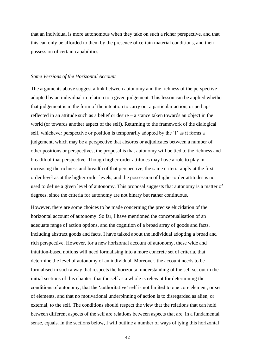that an individual is more autonomous when they take on such a richer perspective, and that this can only be afforded to them by the presence of certain material conditions, and their possession of certain capabilities.

#### *Some Versions of the Horizontal Account*

The arguments above suggest a link between autonomy and the richness of the perspective adopted by an individual in relation to a given judgement. This lesson can be applied whether that judgement is in the form of the intention to carry out a particular action, or perhaps reflected in an attitude such as a belief or desire – a stance taken towards an object in the world (or towards another aspect of the self). Returning to the framework of the dialogical self, whichever perspective or position is temporarily adopted by the 'I' as it forms a judgement, which may be a perspective that absorbs or adjudicates between a number of other positions or perspectives, the proposal is that autonomy will be tied to the richness and breadth of that perspective. Though higher-order attitudes may have a role to play in increasing the richness and breadth of that perspective, the same criteria apply at the firstorder level as at the higher-order levels, and the possession of higher-order attitudes is not used to define a given level of autonomy. This proposal suggests that autonomy is a matter of degrees, since the criteria for autonomy are not binary but rather continuous.

However, there are some choices to be made concerning the precise elucidation of the horizontal account of autonomy. So far, I have mentioned the conceptualisation of an adequate range of action options, and the cognition of a broad array of goods and facts, including abstract goods and facts. I have talked about the individual adopting a broad and rich perspective. However, for a new horizontal account of autonomy, these wide and intuition-based notions will need formalising into a more concrete set of criteria, that determine the level of autonomy of an individual. Moreover, the account needs to be formalised in such a way that respects the horizontal understanding of the self set out in the initial sections of this chapter: that the self as a whole is relevant for determining the conditions of autonomy, that the 'authoritative' self is not limited to one core element, or set of elements, and that no motivational underpinning of action is to disregarded as alien, or external, to the self. The conditions should respect the view that the relations that can hold between different aspects of the self are relations between aspects that are, in a fundamental sense, equals. In the sections below, I will outline a number of ways of tying this horizontal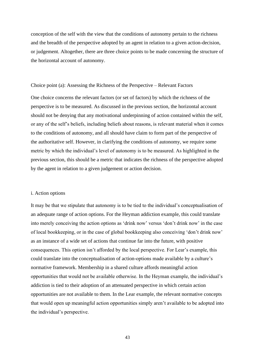conception of the self with the view that the conditions of autonomy pertain to the richness and the breadth of the perspective adopted by an agent in relation to a given action-decision, or judgement. Altogether, there are three choice points to be made concerning the structure of the horizontal account of autonomy.

#### Choice point (a): Assessing the Richness of the Perspective – Relevant Factors

One choice concerns the relevant factors (or set of factors) by which the richness of the perspective is to be measured. As discussed in the previous section, the horizontal account should not be denying that any motivational underpinning of action contained within the self, or any of the self's beliefs, including beliefs about reasons, is relevant material when it comes to the conditions of autonomy, and all should have claim to form part of the perspective of the authoritative self. However, in clarifying the conditions of autonomy, we require some metric by which the individual's level of autonomy is to be measured. As highlighted in the previous section, this should be a metric that indicates the richness of the perspective adopted by the agent in relation to a given judgement or action decision.

#### i. Action options

It may be that we stipulate that autonomy is to be tied to the individual's conceptualisation of an adequate range of action options. For the Heyman addiction example, this could translate into merely conceiving the action options as 'drink now' versus 'don't drink now' in the case of local bookkeeping, or in the case of global bookkeeping also conceiving 'don't drink now' as an instance of a wide set of actions that continue far into the future, with positive consequences. This option isn't afforded by the local perspective. For Lear's example, this could translate into the conceptualisation of action-options made available by a culture's normative framework. Membership in a shared culture affords meaningful action opportunities that would not be available otherwise. In the Heyman example, the individual's addiction is tied to their adoption of an attenuated perspective in which certain action opportunities are not available to them. In the Lear example, the relevant normative concepts that would open up meaningful action opportunities simply aren't available to be adopted into the individual's perspective.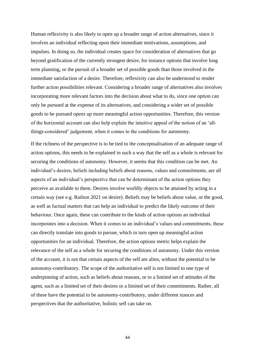Human reflexivity is also likely to open up a broader range of action alternatives, since it involves an individual reflecting upon their immediate motivations, assumptions, and impulses. In doing so, the individual creates space for consideration of alternatives that go beyond gratification of the currently strongest desire, for instance options that involve long term planning, or the pursuit of a broader set of possible goods than those involved in the immediate satisfaction of a desire. Therefore, reflexivity can also be understood to render further action possibilities relevant. Considering a broader range of alternatives also involves incorporating more relevant factors into the decision about what to do, since one option can only be pursued at the expense of its alternatives, and considering a wider set of possible goods to be pursued opens up more meaningful action opportunities. Therefore, this version of the horizontal account can also help explain the intuitive appeal of the notion of an 'allthings-considered' judgement, when it comes to the conditions for autonomy.

If the richness of the perspective is to be tied to the conceptualisation of an adequate range of action options, this needs to be explained in such a way that the self as a whole is relevant for securing the conditions of autonomy. However, it seems that this condition can be met. An individual's desires, beliefs including beliefs about reasons, values and commitments, are all aspects of an individual's perspective that can be determinant of the action options they perceive as available to them. Desires involve worldly objects to be attained by acting in a certain way (see e.g. Railton 2021 on desire). Beliefs may be beliefs about value, or the good, as well as factual matters that can help an individual to predict the likely outcome of their behaviour. Once again, these can contribute to the kinds of action options an individual incorporates into a decision. When it comes to an individual's values and commitments, these can directly translate into goods to pursue, which in turn open up meaningful action opportunities for an individual. Therefore, the action options metric helps explain the relevance of the self as a whole for securing the conditions of autonomy. Under this version of the account, it is not that certain aspects of the self are alien, without the potential to be autonomy-contributory. The scope of the authoritative self is not limited to one type of underpinning of action, such as beliefs about reasons, or to a limited set of attitudes of the agent, such as a limited set of their desires or a limited set of their commitments. Rather, all of these have the potential to be autonomy-contributory, under different stances and perspectives that the authoritative, holistic self can take on.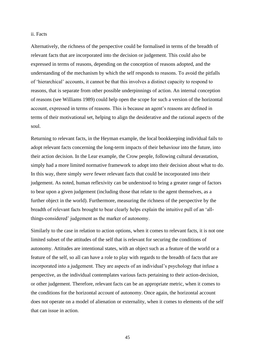#### ii. Facts

Alternatively, the richness of the perspective could be formalised in terms of the breadth of relevant facts that are incorporated into the decision or judgement. This could also be expressed in terms of reasons, depending on the conception of reasons adopted, and the understanding of the mechanism by which the self responds to reasons. To avoid the pitfalls of 'hierarchical' accounts, it cannot be that this involves a distinct capacity to respond to reasons, that is separate from other possible underpinnings of action. An internal conception of reasons (see Williams 1989) could help open the scope for such a version of the horizontal account, expressed in terms of reasons. This is because an agent's reasons are defined in terms of their motivational set, helping to align the desiderative and the rational aspects of the soul.

Returning to relevant facts, in the Heyman example, the local bookkeeping individual fails to adopt relevant facts concerning the long-term impacts of their behaviour into the future, into their action decision. In the Lear example, the Crow people, following cultural devastation, simply had a more limited normative framework to adopt into their decision about what to do. In this way, there simply *were* fewer relevant facts that could be incorporated into their judgement. As noted, human reflexivity can be understood to bring a greater range of factors to bear upon a given judgement (including those that relate to the agent themselves, as a further object in the world). Furthermore, measuring the richness of the perspective by the breadth of relevant facts brought to bear clearly helps explain the intuitive pull of an 'allthings-considered' judgement as the marker of autonomy.

Similarly to the case in relation to action options, when it comes to relevant facts, it is not one limited subset of the attitudes of the self that is relevant for securing the conditions of autonomy. Attitudes are intentional states, with an object such as a feature of the world or a feature of the self, so all can have a role to play with regards to the breadth of facts that are incorporated into a judgement. They are aspects of an individual's psychology that infuse a perspective, as the individual contemplates various facts pertaining to their action-decision, or other judgement. Therefore, relevant facts can be an appropriate metric, when it comes to the conditions for the horizontal account of autonomy. Once again, the horizontal account does not operate on a model of alienation or externality, when it comes to elements of the self that can issue in action.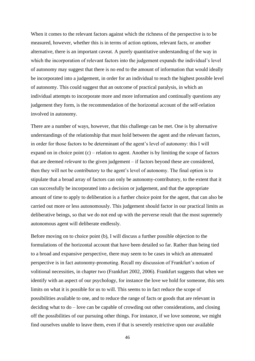When it comes to the relevant factors against which the richness of the perspective is to be measured, however, whether this is in terms of action options, relevant facts, or another alternative, there is an important caveat. A purely quantitative understanding of the way in which the incorporation of relevant factors into the judgement expands the individual's level of autonomy may suggest that there is no end to the amount of information that would ideally be incorporated into a judgement, in order for an individual to reach the highest possible level of autonomy. This could suggest that an outcome of practical paralysis, in which an individual attempts to incorporate more and more information and continually questions any judgement they form, is the recommendation of the horizontal account of the self-relation involved in autonomy.

There are a number of ways, however, that this challenge can be met. One is by alternative understandings of the relationship that must hold between the agent and the relevant factors, in order for those factors to be determinant of the agent's level of autonomy: this I will expand on in choice point  $(c)$  – relation to agent. Another is by limiting the scope of factors that are deemed *relevant* to the given judgement – if factors beyond these are considered, then they will not be contributory to the agent's level of autonomy. The final option is to stipulate that a broad array of factors can only be autonomy-contributory, to the extent that it can successfully be incorporated into a decision or judgement, and that the appropriate amount of time to apply to deliberation is a further choice point for the agent, that can also be carried out more or less autonomously. This judgement should factor in our practical limits as deliberative beings, so that we do not end up with the perverse result that the most supremely autonomous agent will deliberate endlessly.

Before moving on to choice point (b), I will discuss a further possible objection to the formulations of the horizontal account that have been detailed so far. Rather than being tied to a broad and expansive perspective, there may seem to be cases in which an attenuated perspective is in fact autonomy-promoting. Recall my discussion of Frankfurt's notion of volitional necessities, in chapter two (Frankfurt 2002, 2006). Frankfurt suggests that when we identify with an aspect of our psychology, for instance the love we hold for someone, this sets limits on what it is possible for us to will. This seems to in fact reduce the scope of possibilities available to one, and to reduce the range of facts or goods that are relevant in deciding what to do – love can be capable of crowding out other considerations, and closing off the possibilities of our pursuing other things. For instance, if we love someone, we might find ourselves unable to leave them, even if that is severely restrictive upon our available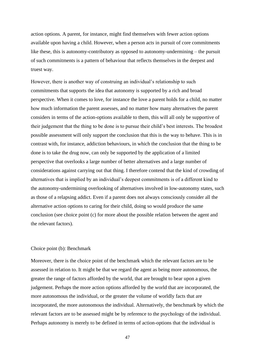action options. A parent, for instance, might find themselves with fewer action options available upon having a child. However, when a person acts in pursuit of core commitments like these, this is autonomy-contributory as opposed to autonomy-undermining – the pursuit of such commitments is a pattern of behaviour that reflects themselves in the deepest and truest way.

However, there is another way of construing an individual's relationship to such commitments that supports the idea that autonomy is supported by a rich and broad perspective. When it comes to love, for instance the love a parent holds for a child, no matter how much information the parent assesses, and no matter how many alternatives the parent considers in terms of the action-options available to them, this will all only be supportive of their judgement that the thing to be done is to pursue their child's best interests. The broadest possible assessment will only support the conclusion that this is the way to behave. This is in contrast with, for instance, addiction behaviours, in which the conclusion that the thing to be done is to take the drug now, can only be supported by the application of a limited perspective that overlooks a large number of better alternatives and a large number of considerations against carrying out that thing. I therefore contend that the kind of crowding of alternatives that is implied by an individual's deepest commitments is of a different kind to the autonomy-undermining overlooking of alternatives involved in low-autonomy states, such as those of a relapsing addict. Even if a parent does not always consciously consider all the alternative action options to caring for their child, doing so would produce the same conclusion (see choice point (c) for more about the possible relation between the agent and the relevant factors).

### Choice point (b): Benchmark

Moreover, there is the choice point of the benchmark which the relevant factors are to be assessed in relation to. It might be that we regard the agent as being more autonomous, the greater the range of factors afforded by the world, that are brought to bear upon a given judgement. Perhaps the more action options afforded by the world that are incorporated, the more autonomous the individual, or the greater the volume of worldly facts that are incorporated, the more autonomous the individual. Alternatively, the benchmark by which the relevant factors are to be assessed might be by reference to the psychology of the individual. Perhaps autonomy is merely to be defined in terms of action-options that the individual is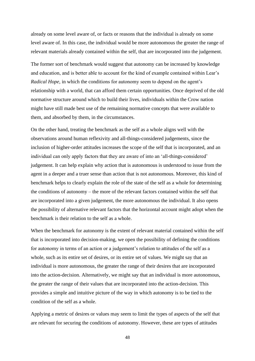already on some level aware of, or facts or reasons that the individual is already on some level aware of. In this case, the individual would be more autonomous the greater the range of relevant materials already contained within the self, that are incorporated into the judgement.

The former sort of benchmark would suggest that autonomy can be increased by knowledge and education, and is better able to account for the kind of example contained within Lear's *Radical Hope*, in which the conditions for autonomy seem to depend on the agent's relationship with a world, that can afford them certain opportunities. Once deprived of the old normative structure around which to build their lives, individuals within the Crow nation might have still made best use of the remaining normative concepts that were available to them, and absorbed by them, in the circumstances.

On the other hand, treating the benchmark as the self as a whole aligns well with the observations around human reflexivity and all-things-considered judgements, since the inclusion of higher-order attitudes increases the scope of the self that is incorporated, and an individual can only apply factors that they are aware of into an 'all-things-considered' judgement. It can help explain why action that is autonomous is understood to issue from the agent in a deeper and a truer sense than action that is not autonomous. Moreover, this kind of benchmark helps to clearly explain the role of the state of the self as a whole for determining the conditions of autonomy – the more of the relevant factors contained within the self that are incorporated into a given judgement, the more autonomous the individual. It also opens the possibility of alternative relevant factors that the horizontal account might adopt when the benchmark is their relation to the self as a whole.

When the benchmark for autonomy is the extent of relevant material contained within the self that is incorporated into decision-making, we open the possibility of defining the conditions for autonomy in terms of an action or a judgement's relation to attitudes of the self as a whole, such as its entire set of desires, or its entire set of values. We might say that an individual is more autonomous, the greater the range of their desires that are incorporated into the action-decision. Alternatively, we might say that an individual is more autonomous, the greater the range of their values that are incorporated into the action-decision. This provides a simple and intuitive picture of the way in which autonomy is to be tied to the condition of the self as a whole.

Applying a metric of desires or values may seem to limit the types of aspects of the self that are relevant for securing the conditions of autonomy. However, these are types of attitudes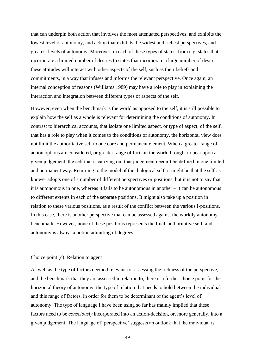that can underpin both action that involves the most attenuated perspectives, and exhibits the lowest level of autonomy, and action that exhibits the widest and richest perspectives, and greatest levels of autonomy. Moreover, in each of these types of states, from e.g. states that incorporate a limited number of desires to states that incorporate a large number of desires, these attitudes will interact with other aspects of the self, such as their beliefs and commitments, in a way that infuses and informs the relevant perspective. Once again, an internal conception of reasons (Williams 1989) may have a role to play in explaining the interaction and integration between different types of aspects of the self.

However, even when the benchmark is the world as opposed to the self, it is still possible to explain how the self as a whole is relevant for determining the conditions of autonomy. In contrast to hierarchical accounts, that isolate one limited aspect, or type of aspect, of the self, that has a role to play when it comes to the conditions of autonomy, the horizontal view does not limit the authoritative self to one core and permanent element. When a greater range of action options are considered, or greater range of facts in the world brought to bear upon a given judgement, the self that is carrying out that judgement needn't be defined in one limited and permanent way. Returning to the model of the dialogical self, it might be that the self-asknower adopts one of a number of different perspectives or positions, but it is not to say that it is autonomous in one, whereas it fails to be autonomous in another – it can be autonomous to different extents in each of the separate positions. It might also take up a position in relation to these various positions, as a result of the conflict between the various I-positions. In this case, there is another perspective that can be assessed against the worldly autonomy benchmark. However, none of these positions represents the final, authoritative self, and autonomy is always a notion admitting of degrees.

## Choice point (c): Relation to agent

As well as the type of factors deemed relevant for assessing the richness of the perspective, and the benchmark that they are assessed in relation to, there is a further choice point for the horizontal theory of autonomy: the type of relation that needs to hold between the individual and this range of factors, in order for them to be determinant of the agent's level of autonomy. The type of language I have been using so far has mainly implied that these factors need to be *consciously* incorporated into an action-decision, or, more generally, into a given judgement. The language of 'perspective' suggests an outlook that the individual is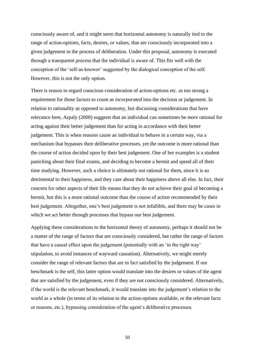consciously aware of, and it might seem that horizontal autonomy is naturally tied to the range of action-options, facts, desires, or values, that are consciously incorporated into a given judgement in the process of deliberation. Under this proposal, autonomy is executed through a transparent process that the individual is aware of. This fits well with the conception of the 'self-as-knower' suggested by the dialogical conception of the self. However, this is not the only option.

There is reason to regard conscious consideration of action-options etc. as too strong a requirement for those factors to count as *incorporated* into the decision or judgement. In relation to rationality as opposed to autonomy, but discussing considerations that have relevance here, Arpaly (2000) suggests that an individual can sometimes be *more* rational for acting against their better judgement than for acting in accordance with their better judgement. This is when reasons cause an individual to behave in a certain way, via a mechanism that bypasses their deliberative processes, yet the outcome is more rational than the course of action decided upon by their best judgement. One of her examples is a student panicking about their final exams, and deciding to become a hermit and spend all of their time studying. However, such a choice is ultimately not rational for them, since it is so detrimental to their happiness, and they care about their happiness above all else. In fact, their concern for other aspects of their life means that they do not achieve their goal of becoming a hermit, but this is a more rational outcome than the course of action recommended by their best judgement. Altogether, one's best judgement is not infallible, and there may be cases in which we act better through processes that bypass our best judgement.

Applying these considerations to the horizontal theory of autonomy, perhaps it should not be a matter of the range of factors that are consciously considered, but rather the range of factors that have a causal effect upon the judgement (potentially with an 'in the right way' stipulation, to avoid instances of wayward causation). Alternatively, we might merely consider the range of relevant factors that are in fact satisfied by the judgement. If our benchmark is the self, this latter option would translate into the desires or values of the agent that are satisfied by the judgement, even if they are not consciously considered. Alternatively, if the world is the relevant benchmark, it would translate into the judgement's relation to the world as a whole (in terms of its relation to the action-options available, or the relevant facts or reasons, etc.), bypassing consideration of the agent's deliberative processes.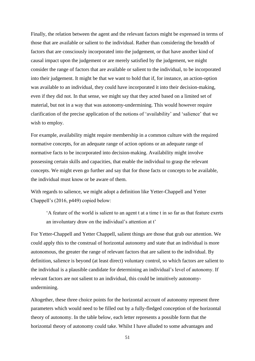Finally, the relation between the agent and the relevant factors might be expressed in terms of those that are available or salient to the individual. Rather than considering the breadth of factors that are consciously incorporated into the judgement, or that have another kind of causal impact upon the judgement or are merely satisfied by the judgement, we might consider the range of factors that are available or salient to the individual, to be incorporated into their judgement. It might be that we want to hold that if, for instance, an action-option was available to an individual, they could have incorporated it into their decision-making, even if they did not. In that sense, we might say that they acted based on a limited set of material, but not in a way that was autonomy-undermining. This would however require clarification of the precise application of the notions of 'availability' and 'salience' that we wish to employ.

For example, availability might require membership in a common culture with the required normative concepts, for an adequate range of action options or an adequate range of normative facts to be incorporated into decision-making. Availability might involve possessing certain skills and capacities, that enable the individual to grasp the relevant concepts. We might even go further and say that for those facts or concepts to be available, the individual must know or be aware of them.

With regards to salience, we might adopt a definition like Yetter-Chappell and Yetter Chappell's (2016, p449) copied below:

'A feature of the world is salient to an agent t at a time t in so far as that feature exerts an involuntary draw on the individual's attention at t'

For Yetter-Chappell and Yetter Chappell, salient things are those that grab our attention. We could apply this to the construal of horizontal autonomy and state that an individual is more autonomous, the greater the range of relevant factors that are salient to the individual. By definition, salience is beyond (at least direct) voluntary control, so which factors are salient to the individual is a plausible candidate for determining an individual's level of autonomy. If relevant factors are not salient to an individual, this could be intuitively autonomyundermining.

Altogether, these three choice points for the horizontal account of autonomy represent three parameters which would need to be filled out by a fully-fledged conception of the horizontal theory of autonomy. In the table below, each letter represents a possible form that the horizontal theory of autonomy could take. Whilst I have alluded to some advantages and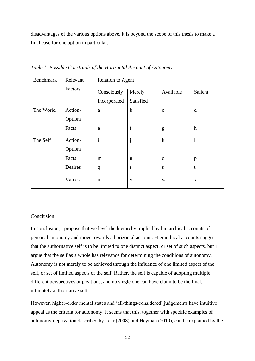disadvantages of the various options above, it is beyond the scope of this thesis to make a final case for one option in particular.

| Benchmark | Relevant<br>Factors | <b>Relation to Agent</b> |              |              |              |
|-----------|---------------------|--------------------------|--------------|--------------|--------------|
|           |                     | Consciously              | Merely       | Available    | Salient      |
|           |                     | Incorporated             | Satisfied    |              |              |
| The World | Action-             | a                        | $\mathbf b$  | $\mathbf{c}$ | d            |
|           | Options             |                          |              |              |              |
|           | Facts               | e                        | $\mathbf f$  | g            | $\mathbf h$  |
| The Self  | Action-<br>Options  | $\mathbf{i}$             | j            | $\mathbf k$  | $\mathbf{l}$ |
|           | Facts               | m                        | $\mathbf n$  | $\mathbf 0$  | $\mathbf{p}$ |
|           | Desires             | q                        | $\mathbf{r}$ | S            | t            |
|           | Values              | u                        | V            | W            | X            |

*Table 1: Possible Construals of the Horizontal Account of Autonomy*

## Conclusion

In conclusion, I propose that we level the hierarchy implied by hierarchical accounts of personal autonomy and move towards a horizontal account. Hierarchical accounts suggest that the authoritative self is to be limited to one distinct aspect, or set of such aspects, but I argue that the self as a whole has relevance for determining the conditions of autonomy. Autonomy is not merely to be achieved through the influence of one limited aspect of the self, or set of limited aspects of the self. Rather, the self is capable of adopting multiple different perspectives or positions, and no single one can have claim to be the final, ultimately authoritative self.

However, higher-order mental states and 'all-things-considered' judgements have intuitive appeal as the criteria for autonomy. It seems that this, together with specific examples of autonomy-deprivation described by Lear (2008) and Heyman (2010), can be explained by the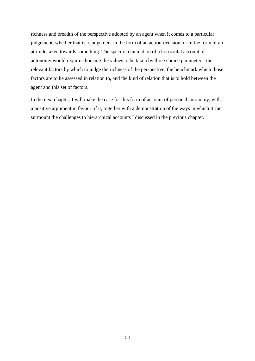richness and breadth of the perspective adopted by an agent when it comes to a particular judgement, whether that is a judgement in the form of an action-decision, or in the form of an attitude taken towards something. The specific elucidation of a horizontal account of autonomy would require choosing the values to be taken by three choice parameters: the relevant factors by which to judge the richness of the perspective, the benchmark which those factors are to be assessed in relation to, and the kind of relation that is to hold between the agent and this set of factors.

In the next chapter, I will make the case for this form of account of personal autonomy, with a positive argument in favour of it, together with a demonstration of the ways in which it can surmount the challenges to hierarchical accounts I discussed in the previous chapter.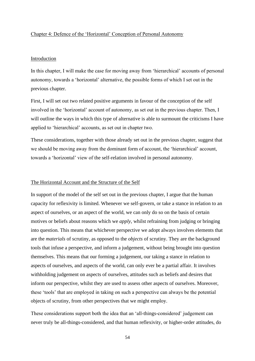#### Chapter 4: Defence of the 'Horizontal' Conception of Personal Autonomy

#### Introduction

In this chapter, I will make the case for moving away from 'hierarchical' accounts of personal autonomy, towards a 'horizontal' alternative, the possible forms of which I set out in the previous chapter.

First, I will set out two related positive arguments in favour of the conception of the self involved in the 'horizontal' account of autonomy, as set out in the previous chapter. Then, I will outline the ways in which this type of alternative is able to surmount the criticisms I have applied to 'hierarchical' accounts, as set out in chapter two.

These considerations, together with those already set out in the previous chapter, suggest that we should be moving away from the dominant form of account, the 'hierarchical' account, towards a 'horizontal' view of the self-relation involved in personal autonomy.

#### The Horizontal Account and the Structure of the Self

In support of the model of the self set out in the previous chapter, I argue that the human capacity for reflexivity is limited. Whenever we self-govern, or take a stance in relation to an aspect of ourselves, or an aspect of the world, we can only do so on the basis of certain motives or beliefs about reasons which we *apply*, whilst refraining from judging or bringing into question. This means that whichever perspective we adopt always involves elements that are the *materials* of scrutiny, as opposed to the *objects* of scrutiny. They are the background tools that infuse a perspective, and inform a judgement, without being brought into question themselves. This means that our forming a judgement, our taking a stance in relation to aspects of ourselves, and aspects of the world, can only ever be a partial affair. It involves withholding judgement on aspects of ourselves, attitudes such as beliefs and desires that inform our perspective, whilst they are used to assess other aspects of ourselves. Moreover, these 'tools' that are employed in taking on such a perspective can always be the potential objects of scrutiny, from other perspectives that we might employ.

These considerations support both the idea that an 'all-things-considered' judgement can never truly be all-things-considered, and that human reflexivity, or higher-order attitudes, do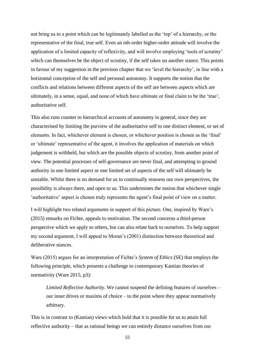not bring us to a point which can be legitimately labelled as the 'top' of a hierarchy, or the representative of the final, true self. Even an nth-order higher-order attitude will involve the application of a limited capacity of reflexivity, and will involve employing 'tools of scrutiny' which can themselves be the object of scrutiny, if the self takes on another stance. This points in favour of my suggestion in the previous chapter that we 'level the hierarchy', in line with a horizontal conception of the self and personal autonomy. It supports the notion that the conflicts and relations between different aspects of the self are between aspects which are ultimately, in a sense, equal, and none of which have ultimate or final claim to be the 'true', authoritative self.

This also runs counter to hierarchical accounts of autonomy in general, since they are characterised by limiting the purview of the authoritative self to one distinct element, or set of elements. In fact, whichever element is chosen, or whichever position is chosen as the 'final' or 'ultimate' representative of the agent, it involves the application of materials on which judgement is withheld, but which are the possible objects of scrutiny, from another point of view. The potential processes of self-governance are never final, and attempting to ground authority in one limited aspect or one limited set of aspects of the self will ultimately be unstable. Whilst there is no demand for us to continually reassess our own perspectives, the possibility is always there, and open to us. This undermines the notion that whichever single 'authoritative' aspect is chosen truly represents the agent's final point of view on a matter.

I will highlight two related arguments in support of this picture. One, inspired by Ware's (2015) remarks on Fichte, appeals to motivation. The second concerns a third-person perspective which we apply to others, but can also relate back to ourselves. To help support my second argument, I will appeal to Moran's (2001) distinction between theoretical and deliberative stances.

Ware (2015) argues for an interpretation of Fichte's *System of Ethics* (SE) that employs the following principle, which presents a challenge to contemporary Kantian theories of normativity (Ware 2015, p3):

*Limited Reflective Authority*. We cannot suspend the defining features of ourselves – our inner drives or maxims of choice – to the point where they appear normatively arbitrary.

This is in contrast to (Kantian) views which hold that it is possible for us to attain full reflective authority – that as rational beings we can entirely distance ourselves from our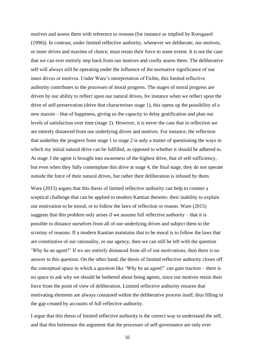motives and assess them with reference to reasons (for instance as implied by Korsgaard (1996)). In contrast, under limited reflective authority, whenever we deliberate, our motives, or inner drives and maxims of choice, must retain their force to some extent. It is not the case that we can ever entirely step back from our motives and coolly assess them. The deliberative self will always still be operating under the influence of the normative significance of our inner drives or motives. Under Ware's interpretation of Fichte, this limited reflective authority contributes to the processes of moral progress. The stages of moral progress are driven by our ability to reflect upon our natural drives, for instance when we reflect upon the drive of self-preservation (drive that characterises stage 1), this opens up the possibility of a new maxim – that of happiness, giving us the capacity to delay gratification and plan our levels of satisfaction over time (stage 2). However, it is never the case that in reflection we are entirely distanced from our underlying drives and motives. For instance, the reflection that underlies the progress from stage 1 to stage 2 is only a matter of questioning the ways in which my initial natural drive can be fulfilled, as opposed to whether it should be adhered to. At stage 3 the agent is brought into awareness of the highest drive, that of self-sufficiency, but even when they fully contemplate this drive at stage 4, the final stage, they do not operate outside the force of their natural drives, but rather their deliberation is infused by them.

Ware (2015) argues that this thesis of limited reflective authority can help to counter a sceptical challenge that can be applied to modern Kantian theories: their inability to explain our motivation to be moral, or to follow the laws of reflection or reason. Ware (2015) suggests that this problem only arises if we assume full reflective authority – that it is possible to distance ourselves from all of our underlying drives and subject them to the scrutiny of reasons. If a modern Kantian maintains that to be moral is to follow the laws that are constitutive of our rationality, or our agency, then we can still be left with the question 'Why be an agent?' If we are entirely distanced from all of our motivations, then there is no answer to this question. On the other hand, the thesis of limited reflective authority closes off the conceptual space in which a question like 'Why be an agent?' can gain traction – there is no space to ask why we should be bothered about being agents, since our motives retain their force from the point of view of deliberation. Limited reflective authority ensures that motivating elements are always contained within the deliberative process itself, thus filling in the gap created by accounts of full reflective authority.

I argue that this thesis of limited reflective authority is the correct way to understand the self, and that this buttresses the argument that the processes of self-governance are only ever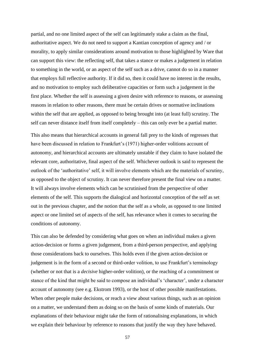partial, and no one limited aspect of the self can legitimately stake a claim as the final, authoritative aspect. We do not need to support a Kantian conception of agency and / or morality, to apply similar considerations around motivation to those highlighted by Ware that can support this view: the reflecting self, that takes a stance or makes a judgement in relation to something in the world, or an aspect of the self such as a drive, cannot do so in a manner that employs full reflective authority. If it did so, then it could have no interest in the results, and no motivation to employ such deliberative capacities or form such a judgement in the first place. Whether the self is assessing a given desire with reference to reasons, or assessing reasons in relation to other reasons, there must be certain drives or normative inclinations within the self that are applied, as opposed to being brought into (at least full) scrutiny. The self can never distance itself from itself completely – this can only ever be a partial matter.

This also means that hierarchical accounts in general fall prey to the kinds of regresses that have been discussed in relation to Frankfurt's (1971) higher-order volitions account of autonomy, and hierarchical accounts are ultimately unstable if they claim to have isolated the relevant core, authoritative, final aspect of the self. Whichever outlook is said to represent the outlook of the 'authoritative' self, it will involve elements which are the materials of scrutiny, as opposed to the object of scrutiny. It can never therefore present the final view on a matter. It will always involve elements which can be scrutinised from the perspective of other elements of the self. This supports the dialogical and horizontal conception of the self as set out in the previous chapter, and the notion that the self as a whole, as opposed to one limited aspect or one limited set of aspects of the self, has relevance when it comes to securing the conditions of autonomy.

This can also be defended by considering what goes on when an individual makes a given action-decision or forms a given judgement, from a third-person perspective, and applying those considerations back to ourselves. This holds even if the given action-decision or judgement is in the form of a second or third-order volition, to use Frankfurt's terminology (whether or not that is a *decisive* higher-order volition), or the reaching of a commitment or stance of the kind that might be said to compose an individual's 'character', under a character account of autonomy (see e.g. Ekstrom 1993), or the host of other possible manifestations. When other people make decisions, or reach a view about various things, such as an opinion on a matter, we understand them as doing so on the basis of some kinds of materials. Our explanations of their behaviour might take the form of rationalising explanations, in which we explain their behaviour by reference to reasons that justify the way they have behaved.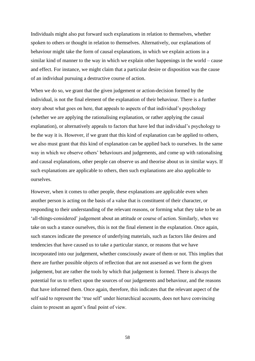Individuals might also put forward such explanations in relation to themselves, whether spoken to others or thought in relation to themselves. Alternatively, our explanations of behaviour might take the form of causal explanations, in which we explain actions in a similar kind of manner to the way in which we explain other happenings in the world – cause and effect. For instance, we might claim that a particular desire or disposition was the cause of an individual pursuing a destructive course of action.

When we do so, we grant that the given judgement or action-decision formed by the individual, is not the final element of the explanation of their behaviour. There is a further story about what goes on here, that appeals to aspects of that individual's psychology (whether we are applying the rationalising explanation, or rather applying the casual explanation), or alternatively appeals to factors that have led that individual's psychology to be the way it is. However, if we grant that this kind of explanation can be applied to others, we also must grant that this kind of explanation can be applied back to ourselves. In the same way in which we observe others' behaviours and judgements, and come up with rationalising and causal explanations, other people can observe us and theorise about us in similar ways. If such explanations are applicable to others, then such explanations are also applicable to ourselves.

However, when it comes to other people, these explanations are applicable even when another person is acting on the basis of a value that is constituent of their character, or responding to their understanding of the relevant reasons, or forming what they take to be an 'all-things-considered' judgement about an attitude or course of action. Similarly, when we take on such a stance ourselves, this is not the final element in the explanation. Once again, such stances indicate the presence of underlying materials, such as factors like desires and tendencies that have caused us to take a particular stance, or reasons that we have incorporated into our judgement, whether consciously aware of them or not. This implies that there are further possible objects of reflection that are not assessed as we form the given judgement, but are rather the tools by which that judgement is formed. There is always the potential for us to reflect upon the sources of our judgements and behaviour, and the reasons that have informed them. Once again, therefore, this indicates that the relevant aspect of the self said to represent the 'true self' under hierarchical accounts, does not have convincing claim to present an agent's final point of view.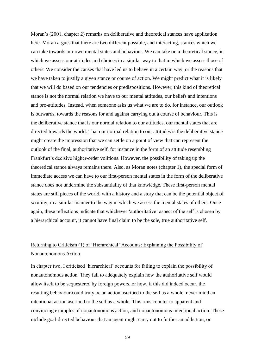Moran's (2001, chapter 2) remarks on deliberative and theoretical stances have application here. Moran argues that there are two different possible, and interacting, stances which we can take towards our own mental states and behaviour. We can take on a theoretical stance, in which we assess our attitudes and choices in a similar way to that in which we assess those of others. We consider the causes that have led us to behave in a certain way, or the reasons that we have taken to justify a given stance or course of action. We might predict what it is likely that we will do based on our tendencies or predispositions. However, this kind of theoretical stance is not the normal relation we have to our mental attitudes, our beliefs and intentions and pro-attitudes. Instead, when someone asks us what we are to do, for instance, our outlook is outwards, towards the reasons for and against carrying out a course of behaviour. This is the deliberative stance that is our normal relation to our attitudes, our mental states that are directed towards the world. That our normal relation to our attitudes is the deliberative stance might create the impression that we can settle on a point of view that can represent the outlook of the final, authoritative self, for instance in the form of an attitude resembling Frankfurt's decisive higher-order volitions. However, the possibility of taking up the theoretical stance always remains there. Also, as Moran notes (chapter 1), the special form of immediate access we can have to our first-person mental states in the form of the deliberative stance does not undermine the substantiality of that knowledge. These first-person mental states are still pieces of the world, with a history and a story that can be the potential object of scrutiny, in a similar manner to the way in which we assess the mental states of others. Once again, these reflections indicate that whichever 'authoritative' aspect of the self is chosen by a hierarchical account, it cannot have final claim to be the sole, true authoritative self.

# Returning to Criticism (1) of 'Hierarchical' Accounts: Explaining the Possibility of Nonautonomous Action

In chapter two, I criticised 'hierarchical' accounts for failing to explain the possibility of nonautonomous action. They fail to adequately explain how the authoritative self would allow itself to be sequestered by foreign powers, or how, if this did indeed occur, the resulting behaviour could truly be an action ascribed to the self as a whole, never mind an intentional action ascribed to the self as a whole. This runs counter to apparent and convincing examples of nonautonomous action, and nonautonomous intentional action. These include goal-directed behaviour that an agent might carry out to further an addiction, or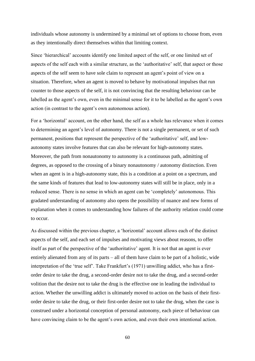individuals whose autonomy is undermined by a minimal set of options to choose from, even as they intentionally direct themselves within that limiting context.

Since 'hierarchical' accounts identify one limited aspect of the self, or one limited set of aspects of the self each with a similar structure, as the 'authoritative' self, that aspect or those aspects of the self seem to have sole claim to represent an agent's point of view on a situation. Therefore, when an agent is moved to behave by motivational impulses that run counter to those aspects of the self, it is not convincing that the resulting behaviour can be labelled as the agent's own, even in the minimal sense for it to be labelled as the agent's own action (in contrast to the agent's own autonomous action).

For a 'horizontal' account, on the other hand, the self as a whole has relevance when it comes to determining an agent's level of autonomy. There is not a single permanent, or set of such permanent, positions that represent the perspective of the 'authoritative' self, and lowautonomy states involve features that can also be relevant for high-autonomy states. Moreover, the path from nonautonomy to autonomy is a continuous path, admitting of degrees, as opposed to the crossing of a binary nonautonomy / autonomy distinction. Even when an agent is in a high-autonomy state, this is a condition at a point on a spectrum, and the same kinds of features that lead to low-autonomy states will still be in place, only in a reduced sense. There is no sense in which an agent can be 'completely' autonomous. This gradated understanding of autonomy also opens the possibility of nuance and new forms of explanation when it comes to understanding how failures of the authority relation could come to occur.

As discussed within the previous chapter, a 'horizontal' account allows each of the distinct aspects of the self, and each set of impulses and motivating views about reasons, to offer itself as part of the perspective of the 'authoritative' agent. It is not that an agent is ever entirely alienated from any of its parts – all of them have claim to be part of a holistic, wide interpretation of the 'true self'. Take Frankfurt's (1971) unwilling addict, who has a firstorder desire to take the drug, a second-order desire not to take the drug, and a second-order volition that the desire not to take the drug is the effective one in leading the individual to action. Whether the unwilling addict is ultimately moved to action on the basis of their firstorder desire to take the drug, or their first-order desire not to take the drug, when the case is construed under a horizontal conception of personal autonomy, each piece of behaviour can have convincing claim to be the agent's own action, and even their own intentional action.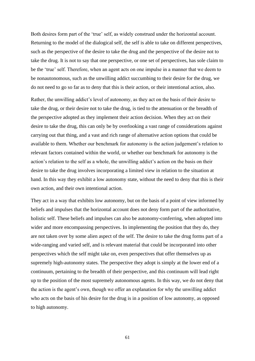Both desires form part of the 'true' self, as widely construed under the horizontal account. Returning to the model of the dialogical self, the self is able to take on different perspectives, such as the perspective of the desire to take the drug and the perspective of the desire not to take the drug. It is not to say that one perspective, or one set of perspectives, has sole claim to be the 'true' self. Therefore, when an agent acts on one impulse in a manner that we deem to be nonautonomous, such as the unwilling addict succumbing to their desire for the drug, we do not need to go so far as to deny that this is their action, or their intentional action, also.

Rather, the unwilling addict's level of autonomy, as they act on the basis of their desire to take the drug, or their desire not to take the drug, is tied to the attenuation or the breadth of the perspective adopted as they implement their action decision. When they act on their desire to take the drug, this can only be by overlooking a vast range of considerations against carrying out that thing, and a vast and rich range of alternative action options that could be available to them. Whether our benchmark for autonomy is the action judgement's relation to relevant factors contained within the world, or whether our benchmark for autonomy is the action's relation to the self as a whole, the unwilling addict's action on the basis on their desire to take the drug involves incorporating a limited view in relation to the situation at hand. In this way they exhibit a low autonomy state, without the need to deny that this is their own action, and their own intentional action.

They act in a way that exhibits low autonomy, but on the basis of a point of view informed by beliefs and impulses that the horizontal account does not deny form part of the authoritative, holistic self. These beliefs and impulses can also be autonomy-conferring, when adopted into wider and more encompassing perspectives. In implementing the position that they do, they are not taken over by some alien aspect of the self. The desire to take the drug forms part of a wide-ranging and varied self, and is relevant material that could be incorporated into other perspectives which the self might take on, even perspectives that offer themselves up as supremely high-autonomy states. The perspective they adopt is simply at the lower end of a continuum, pertaining to the breadth of their perspective, and this continuum will lead right up to the position of the most supremely autonomous agents. In this way, we do not deny that the action is the agent's own, though we offer an explanation for why the unwilling addict who acts on the basis of his desire for the drug is in a position of low autonomy, as opposed to high autonomy.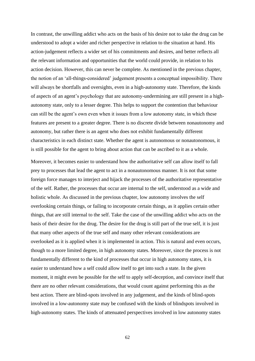In contrast, the unwilling addict who acts on the basis of his desire not to take the drug can be understood to adopt a wider and richer perspective in relation to the situation at hand. His action-judgement reflects a wider set of his commitments and desires, and better reflects all the relevant information and opportunities that the world could provide, in relation to his action decision. However, this can never be complete. As mentioned in the previous chapter, the notion of an 'all-things-considered' judgement presents a conceptual impossibility. There will always be shortfalls and oversights, even in a high-autonomy state. Therefore, the kinds of aspects of an agent's psychology that are autonomy-undermining are still present in a highautonomy state, only to a lesser degree. This helps to support the contention that behaviour can still be the agent's own even when it issues from a low autonomy state, in which these features are present to a greater degree. There is no discrete divide between nonautonomy and autonomy, but rather there is an agent who does not exhibit fundamentally different characteristics in each distinct state. Whether the agent is autonomous or nonautonomous, it is still possible for the agent to bring about action that can be ascribed to it as a whole.

Moreover, it becomes easier to understand how the authoritative self can allow itself to fall prey to processes that lead the agent to act in a nonautonomous manner. It is not that some foreign force manages to interject and hijack the processes of the authoritative representative of the self. Rather, the processes that occur are internal to the self, understood as a wide and holistic whole. As discussed in the previous chapter, low autonomy involves the self overlooking certain things, or failing to incorporate certain things, as it applies certain other things, that are still internal to the self. Take the case of the unwilling addict who acts on the basis of their desire for the drug. The desire for the drug is still part of the true self, it is just that many other aspects of the true self and many other relevant considerations are overlooked as it is applied when it is implemented in action. This is natural and even occurs, though to a more limited degree, in high autonomy states. Moreover, since the process is not fundamentally different to the kind of processes that occur in high autonomy states, it is easier to understand how a self could allow itself to get into such a state. In the given moment, it might even be possible for the self to apply self-deception, and convince itself that there are no other relevant considerations, that would count against performing this as the best action. There are blind-spots involved in any judgement, and the kinds of blind-spots involved in a low-autonomy state may be confused with the kinds of blindspots involved in high-autonomy states. The kinds of attenuated perspectives involved in low autonomy states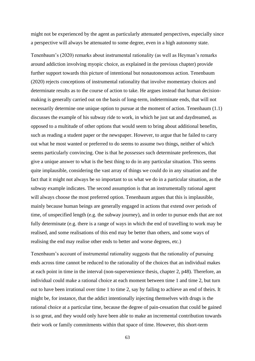might not be experienced by the agent as particularly attenuated perspectives, especially since a perspective will always be attenuated to some degree, even in a high autonomy state.

Tenenbaum's (2020) remarks about instrumental rationality (as well as Heyman's remarks around addiction involving myopic choice, as explained in the previous chapter) provide further support towards this picture of intentional but nonautonomous action. Tenenbaum (2020) rejects conceptions of instrumental rationality that involve momentary choices and determinate results as to the course of action to take. He argues instead that human decisionmaking is generally carried out on the basis of long-term, indeterminate ends, that will not necessarily determine one unique option to pursue at the moment of action. Tenenbaum (1.1) discusses the example of his subway ride to work, in which he just sat and daydreamed, as opposed to a multitude of other options that would seem to bring about additional benefits, such as reading a student paper or the newspaper. However, to argue that he failed to carry out what he most wanted or preferred to do seems to assume two things, neither of which seems particularly convincing. One is that he *possesses* such determinate preferences, that give a unique answer to what is the best thing to do in any particular situation. This seems quite implausible, considering the vast array of things we could do in any situation and the fact that it might not always be so important to us what we do in a particular situation, as the subway example indicates. The second assumption is that an instrumentally rational agent will always choose the most preferred option. Tenenbaum argues that this is implausible, mainly because human beings are generally engaged in actions that extend over periods of time, of unspecified length (e.g. the subway journey), and in order to pursue ends that are not fully determinate (e.g. there is a range of ways in which the end of travelling to work may be realised, and some realisations of this end may be better than others, and some ways of realising the end may realise other ends to better and worse degrees, etc.)

Tenenbaum's account of instrumental rationality suggests that the rationality of pursuing ends across time cannot be reduced to the rationality of the choices that an individual makes at each point in time in the interval (non-supervenience thesis, chapter 2, p48). Therefore, an individual could make a rational choice at each moment between time 1 and time 2, but turn out to have been irrational over time 1 to time 2, say by failing to achieve an end of theirs. It might be, for instance, that the addict intentionally injecting themselves with drugs is the rational choice at a particular time, because the degree of pain-cessation that could be gained is so great, and they would only have been able to make an incremental contribution towards their work or family commitments within that space of time. However, this short-term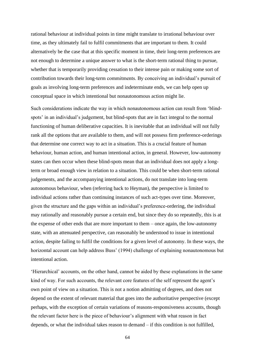rational behaviour at individual points in time might translate to irrational behaviour over time, as they ultimately fail to fulfil commitments that are important to them. It could alternatively be the case that at this specific moment in time, their long-term preferences are not enough to determine a unique answer to what is the short-term rational thing to pursue, whether that is temporarily providing cessation to their intense pain or making some sort of contribution towards their long-term commitments. By conceiving an individual's pursuit of goals as involving long-term preferences and indeterminate ends, we can help open up conceptual space in which intentional but nonautonomous action might lie.

Such considerations indicate the way in which nonautonomous action can result from 'blindspots' in an individual's judgement, but blind-spots that are in fact integral to the normal functioning of human deliberative capacities. It is inevitable that an individual will not fully rank all the options that are available to them, and will not possess firm preference-orderings that determine one correct way to act in a situation. This is a crucial feature of human behaviour, human action, and human intentional action, in general. However, low-autonomy states can then occur when these blind-spots mean that an individual does not apply a longterm or broad enough view in relation to a situation. This could be when short-term rational judgements, and the accompanying intentional actions, do not translate into long-term autonomous behaviour, when (referring back to Heyman), the perspective is limited to individual actions rather than continuing instances of such act-types over time. Moreover, given the structure and the gaps within an individual's preference-ordering, the individual may rationally and reasonably pursue a certain end, but since they do so repeatedly, this is at the expense of other ends that are more important to them – once again, the low-autonomy state, with an attenuated perspective, can reasonably be understood to issue in intentional action, despite failing to fulfil the conditions for a given level of autonomy. In these ways, the horizontal account can help address Buss' (1994) challenge of explaining nonautonomous but intentional action.

'Hierarchical' accounts, on the other hand, cannot be aided by these explanations in the same kind of way. For such accounts, the relevant core features of the self represent the agent's own point of view on a situation. This is not a notion admitting of degrees, and does not depend on the extent of relevant material that goes into the authoritative perspective (except perhaps, with the exception of certain variations of reasons-responsiveness accounts, though the relevant factor here is the piece of behaviour's alignment with what reason in fact depends, or what the individual takes reason to demand – if this condition is not fulfilled,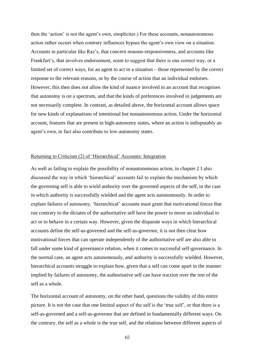then the 'action' is not the agent's own, simpliciter.) For these accounts, nonautonomous action rather occurs when contrary influences bypass the agent's own view on a situation. Accounts in particular like Raz's, that concern reasons-responsiveness, and accounts like Frankfurt's, that involves endorsement, seem to suggest that there is one correct way, or a limited set of correct ways, for an agent to act in a situation – those represented by the correct response to the relevant reasons, or by the course of action that an individual endorses. However, this then does not allow the kind of nuance involved in an account that recognises that autonomy is on a spectrum, and that the kinds of preferences involved in judgements are not necessarily complete. In contrast, as detailed above, the horizontal account allows space for new kinds of explanations of intentional but nonautonomous action. Under the horizontal account, features that are present in high-autonomy states, where an action is indisputably an agent's own, in fact also contribute to low-autonomy states.

#### Returning to Criticism (2) of 'Hierarchical' Accounts: Integration

As well as failing to explain the possibility of nonautonomous action, in chapter 2 I also discussed the way in which 'hierarchical' accounts fail to explain the mechanism by which the governing self is able to wield authority over the governed aspects of the self, in the case in which authority is successfully wielded and the agent acts autonomously. In order to explain failures of autonomy, 'hierarchical' accounts must grant that motivational forces that run contrary to the dictates of the authoritative self have the power to move an individual to act or to behave in a certain way. However, given the disparate ways in which hierarchical accounts define the self-as-governed and the self-as-governor, it is not then clear how motivational forces that can operate independently of the authoritative self are also able to fall under some kind of governance relation, when it comes to successful self-governance. In the normal case, an agent acts autonomously, and authority is successfully wielded. However, hierarchical accounts struggle to explain how, given that a self can come apart in the manner implied by failures of autonomy, the authoritative self can have traction over the rest of the self as a whole.

The horizontal account of autonomy, on the other hand, questions the validity of this entire picture. It is not the case that one limited aspect of the self is the 'true self', or that there is a self-as-governed and a self-as-governor that are defined in fundamentally different ways. On the contrary, the self as a whole is the true self, and the relations between different aspects of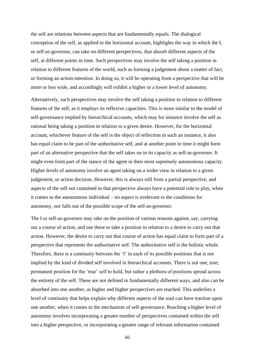the self are relations between aspects that are fundamentally equals. The dialogical conception of the self, as applied to the horizontal account, highlights the way in which the I, or self-as-governor, can take on different perspectives, that absorb different aspects of the self, at different points in time. Such perspectives may involve the self taking a position in relation to different features of the world, such as forming a judgement about a matter of fact, or forming an action-intention. In doing so, it will be operating from a perspective that will be more or less wide, and accordingly will exhibit a higher or a lower level of autonomy.

Alternatively, such perspectives may involve the self taking a position in relation to different features of the self, as it employs its reflexive capacities. This is more similar to the model of self-governance implied by hierarchical accounts, which may for instance involve the self as rational being taking a position in relation to a given desire. However, for the horizontal account, whichever feature of the self is the object of reflection in such an instance, it also has equal claim to be part of the authoritative self, and at another point in time it might form part of an alternative perspective that the self takes on in its capacity as self-as-governor. It might even form part of the stance of the agent in their most supremely autonomous capacity. Higher levels of autonomy involve an agent taking on a wider view in relation to a given judgement, or action decision. However, this is always still from a partial perspective, and aspects of the self not contained in that perspective always have a potential role to play, when it comes to the autonomous individual – no aspect is irrelevant to the conditions for autonomy, nor falls out of the possible scope of the self-as-governor.

The I or self-as-governor may take on the position of various reasons against, say, carrying out a course of action, and use these to take a position in relation to a desire to carry out that action. However, the desire to carry out that course of action has equal claim to form part of a perspective that represents the authoritative self. The authoritative self is the holistic whole. Therefore, there is a continuity between the 'I' in each of its possible positions that is not implied by the kind of divided self involved in hierarchical accounts. There is not one, true, permanent position for the 'true' self to hold, but rather a plethora of positions spread across the entirety of the self. These are not defined in fundamentally different ways, and also can be absorbed into one another, as higher and higher perspectives are reached. This underlies a level of continuity that helps explain why different aspects of the soul can have traction upon one another, when it comes to the mechanism of self-governance. Reaching a higher level of autonomy involves incorporating a greater number of perspectives contained within the self into a higher perspective, or incorporating a greater range of relevant information contained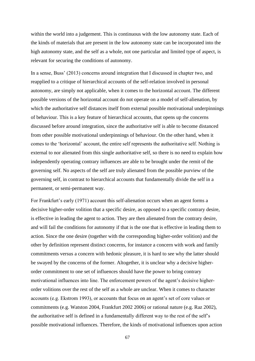within the world into a judgement. This is continuous with the low autonomy state. Each of the kinds of materials that are present in the low autonomy state can be incorporated into the high autonomy state, and the self as a whole, not one particular and limited type of aspect, is relevant for securing the conditions of autonomy.

In a sense, Buss' (2013) concerns around integration that I discussed in chapter two, and reapplied to a critique of hierarchical accounts of the self-relation involved in personal autonomy, are simply not applicable, when it comes to the horizontal account. The different possible versions of the horizontal account do not operate on a model of self-alienation, by which the authoritative self distances itself from external possible motivational underpinnings of behaviour. This is a key feature of hierarchical accounts, that opens up the concerns discussed before around integration, since the authoritative self is able to become distanced from other possible motivational underpinnings of behaviour. On the other hand, when it comes to the 'horizontal' account, the entire self represents the authoritative self. Nothing is external to nor alienated from this single authoritative self, so there is no need to explain how independently operating contrary influences are able to be brought under the remit of the governing self. No aspects of the self are truly alienated from the possible purview of the governing self, in contrast to hierarchical accounts that fundamentally divide the self in a permanent, or semi-permanent way.

For Frankfurt's early (1971) account this self-alienation occurs when an agent forms a decisive higher-order volition that a specific desire, as opposed to a specific contrary desire, is effective in leading the agent to action. They are then alienated from the contrary desire, and will fail the conditions for autonomy if that is the one that is effective in leading them to action. Since the one desire (together with the corresponding higher-order volition) and the other by definition represent distinct concerns, for instance a concern with work and family commitments versus a concern with hedonic pleasure, it is hard to see why the latter should be swayed by the concerns of the former. Altogether, it is unclear why a decisive higherorder commitment to one set of influences should have the power to bring contrary motivational influences into line. The enforcement powers of the agent's decisive higherorder volitions over the rest of the self as a whole are unclear. When it comes to character accounts (e.g. Ekstrom 1993), or accounts that focus on an agent's set of core values or commitments (e.g. Watston 2004, Frankfurt 2002 2006) or rational nature (e.g. Raz 2002), the authoritative self is defined in a fundamentally different way to the rest of the self's possible motivational influences. Therefore, the kinds of motivational influences upon action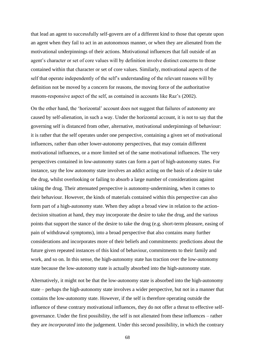that lead an agent to successfully self-govern are of a different kind to those that operate upon an agent when they fail to act in an autonomous manner, or when they are alienated from the motivational underpinnings of their actions. Motivational influences that fall outside of an agent's character or set of core values will by definition involve distinct concerns to those contained within that character or set of core values. Similarly, motivational aspects of the self that operate independently of the self's understanding of the relevant reasons will by definition not be moved by a concern for reasons, the moving force of the authoritative reasons-responsive aspect of the self, as contained in accounts like Raz's (2002).

On the other hand, the 'horizontal' account does not suggest that failures of autonomy are caused by self-alienation, in such a way. Under the horizontal account, it is not to say that the governing self is distanced from other, alternative, motivational underpinnings of behaviour: it is rather that the self operates under one perspective, containing a given set of motivational influences, rather than other lower-autonomy perspectives, that may contain different motivational influences, or a more limited set of the same motivational influences. The very perspectives contained in low-autonomy states can form a part of high-autonomy states. For instance, say the low autonomy state involves an addict acting on the basis of a desire to take the drug, whilst overlooking or failing to absorb a large number of considerations against taking the drug. Their attenuated perspective is autonomy-undermining, when it comes to their behaviour. However, the kinds of materials contained within this perspective can also form part of a high-autonomy state. When they adopt a broad view in relation to the actiondecision situation at hand, they may incorporate the desire to take the drug, and the various points that support the stance of the desire to take the drug (e.g. short-term pleasure, easing of pain of withdrawal symptoms), into a broad perspective that also contains many further considerations and incorporates more of their beliefs and commitments: predictions about the future given repeated instances of this kind of behaviour, commitments to their family and work, and so on. In this sense, the high-autonomy state has traction over the low-autonomy state because the low-autonomy state is actually absorbed into the high-autonomy state.

Alternatively, it might not be that the low-autonomy state is absorbed into the high-autonomy state – perhaps the high-autonomy state involves a wider perspective, but not in a manner that contains the low-autonomy state. However, if the self is therefore operating outside the influence of these contrary motivational influences, they do not offer a threat to effective selfgovernance. Under the first possibility, the self is not alienated from these influences – rather they are *incorporated* into the judgement. Under this second possibility, in which the contrary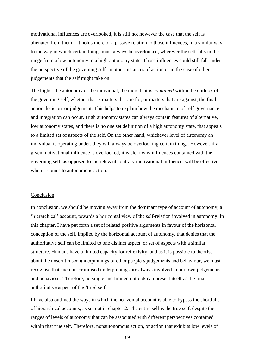motivational influences are overlooked, it is still not however the case that the self is alienated from them – it holds more of a passive relation to those influences, in a similar way to the way in which certain things must always be overlooked, wherever the self falls in the range from a low-autonomy to a high-autonomy state. Those influences could still fall under the perspective of the governing self, in other instances of action or in the case of other judgements that the self might take on.

The higher the autonomy of the individual, the more that is *contained* within the outlook of the governing self, whether that is matters that are for, or matters that are against, the final action decision, or judgement. This helps to explain how the mechanism of self-governance and integration can occur. High autonomy states can always contain features of alternative, low autonomy states, and there is no one set definition of a high autonomy state, that appeals to a limited set of aspects of the self. On the other hand, whichever level of autonomy an individual is operating under, they will always be overlooking certain things. However, if a given motivational influence is overlooked, it is clear why influences contained with the governing self, as opposed to the relevant contrary motivational influence, will be effective when it comes to autonomous action.

## Conclusion

In conclusion, we should be moving away from the dominant type of account of autonomy, a 'hierarchical' account, towards a horizontal view of the self-relation involved in autonomy. In this chapter, I have put forth a set of related positive arguments in favour of the horizontal conception of the self, implied by the horizontal account of autonomy, that denies that the authoritative self can be limited to one distinct aspect, or set of aspects with a similar structure. Humans have a limited capacity for reflexivity, and as it is possible to theorise about the unscrutinised underpinnings of other people's judgements and behaviour, we must recognise that such unscrutinised underpinnings are always involved in our own judgements and behaviour. Therefore, no single and limited outlook can present itself as the final authoritative aspect of the 'true' self.

I have also outlined the ways in which the horizontal account is able to bypass the shortfalls of hierarchical accounts, as set out in chapter 2. The entire self is the true self, despite the ranges of levels of autonomy that can be associated with different perspectives contained within that true self. Therefore, nonautonomous action, or action that exhibits low levels of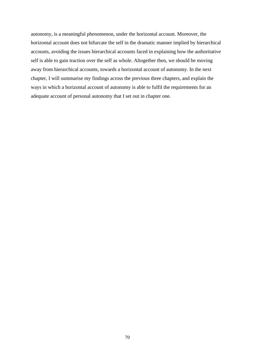autonomy, is a meaningful phenomenon, under the horizontal account. Moreover, the horizontal account does not bifurcate the self in the dramatic manner implied by hierarchical accounts, avoiding the issues hierarchical accounts faced in explaining how the authoritative self is able to gain traction over the self as whole. Altogether then, we should be moving away from hierarchical accounts, towards a horizontal account of autonomy. In the next chapter, I will summarise my findings across the previous three chapters, and explain the ways in which a horizontal account of autonomy is able to fulfil the requirements for an adequate account of personal autonomy that I set out in chapter one.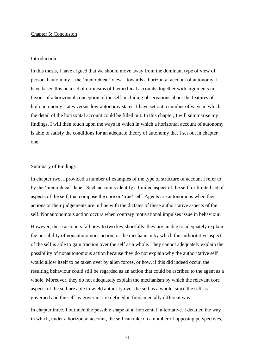## Chapter 5: Conclusion

#### Introduction

In this thesis, I have argued that we should move away from the dominant type of view of personal autonomy – the 'hierarchical' view – towards a horizontal account of autonomy. I have based this on a set of criticisms of hierarchical accounts, together with arguments in favour of a horizontal conception of the self, including observations about the features of high-autonomy states versus low-autonomy states. I have set out a number of ways in which the detail of the horizontal account could be filled out. In this chapter, I will summarise my findings. I will then touch upon the ways in which in which a horizontal account of autonomy is able to satisfy the conditions for an adequate theory of autonomy that I set out in chapter one.

## Summary of Findings

In chapter two, I provided a number of examples of the type of structure of account I refer to by the 'hierarchical' label. Such accounts identify a limited aspect of the self, or limited set of aspects of the self, that compose the core or 'true' self. Agents are autonomous when their actions or their judgements are in line with the dictates of these authoritative aspects of the self. Nonautonomous action occurs when contrary motivational impulses issue in behaviour.

However, these accounts fall prey to two key shortfalls: they are unable to adequately explain the possibility of nonautonomous action, or the mechanism by which the authoritative aspect of the self is able to gain traction over the self as a whole. They cannot adequately explain the possibility of nonautonomous action because they do not explain why the authoritative self would allow itself to be taken over by alien forces, or how, if this did indeed occur, the resulting behaviour could still be regarded as an action that could be ascribed to the agent as a whole. Moreover, they do not adequately explain the mechanism by which the relevant core aspects of the self are able to wield authority over the self as a whole, since the self-asgoverned and the self-as-governor are defined in fundamentally different ways.

In chapter three, I outlined the possible shape of a 'horizontal' alternative. I detailed the way in which, under a horizontal account, the self can take on a number of opposing perspectives,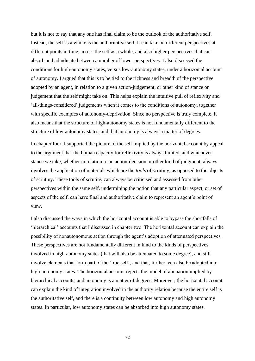but it is not to say that any one has final claim to be the outlook of the authoritative self. Instead, the self as a whole is the authoritative self. It can take on different perspectives at different points in time, across the self as a whole, and also higher perspectives that can absorb and adjudicate between a number of lower perspectives. I also discussed the conditions for high-autonomy states, versus low-autonomy states, under a horizontal account of autonomy. I argued that this is to be tied to the richness and breadth of the perspective adopted by an agent, in relation to a given action-judgement, or other kind of stance or judgement that the self might take on. This helps explain the intuitive pull of reflexivity and 'all-things-considered' judgements when it comes to the conditions of autonomy, together with specific examples of autonomy-deprivation. Since no perspective is truly complete, it also means that the structure of high-autonomy states is not fundamentally different to the structure of low-autonomy states, and that autonomy is always a matter of degrees.

In chapter four, I supported the picture of the self implied by the horizontal account by appeal to the argument that the human capacity for reflexivity is always limited, and whichever stance we take, whether in relation to an action-decision or other kind of judgment, always involves the application of materials which are the *tools* of scrutiny, as opposed to the objects of scrutiny. These tools of scrutiny can always be criticised and assessed from other perspectives within the same self, undermining the notion that any particular aspect, or set of aspects of the self, can have final and authoritative claim to represent an agent's point of view.

I also discussed the ways in which the horizontal account is able to bypass the shortfalls of 'hierarchical' accounts that I discussed in chapter two. The horizontal account can explain the possibility of nonautonomous action through the agent's adoption of attenuated perspectives. These perspectives are not fundamentally different in kind to the kinds of perspectives involved in high-autonomy states (that will also be attenuated to some degree), and still involve elements that form part of the 'true self', and that, further, can also be adopted into high-autonomy states. The horizontal account rejects the model of alienation implied by hierarchical accounts, and autonomy is a matter of degrees. Moreover, the horizontal account can explain the kind of integration involved in the authority relation because the entire self is the authoritative self, and there is a continuity between low autonomy and high autonomy states. In particular, low autonomy states can be absorbed into high autonomy states.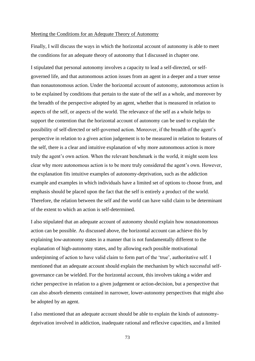## Meeting the Conditions for an Adequate Theory of Autonomy

Finally, I will discuss the ways in which the horizontal account of autonomy is able to meet the conditions for an adequate theory of autonomy that I discussed in chapter one.

I stipulated that personal autonomy involves a capacity to lead a self-directed, or selfgoverned life, and that autonomous action issues from an agent in a deeper and a truer sense than nonautonomous action. Under the horizontal account of autonomy, autonomous action is to be explained by conditions that pertain to the state of the self as a whole, and moreover by the breadth of the perspective adopted by an agent, whether that is measured in relation to aspects of the self, or aspects of the world. The relevance of the self as a whole helps to support the contention that the horizontal account of autonomy can be used to explain the possibility of self-directed or self-governed action. Moreover, if the breadth of the agent's perspective in relation to a given action judgement is to be measured in relation to features of the self, there is a clear and intuitive explanation of why more autonomous action is more truly the agent's own action. When the relevant benchmark is the world, it might seem less clear why more autonomous action is to be more truly considered the agent's own. However, the explanation fits intuitive examples of autonomy-deprivation, such as the addiction example and examples in which individuals have a limited set of options to choose from, and emphasis should be placed upon the fact that the self is entirely a product of the world. Therefore, the relation between the self and the world can have valid claim to be determinant of the extent to which an action is self-determined.

I also stipulated that an adequate account of autonomy should explain how nonautonomous action can be possible. As discussed above, the horizontal account can achieve this by explaining low-autonomy states in a manner that is not fundamentally different to the explanation of high-autonomy states, and by allowing each possible motivational underpinning of action to have valid claim to form part of the 'true', authoritative self. I mentioned that an adequate account should explain the mechanism by which successful selfgovernance can be wielded. For the horizontal account, this involves taking a wider and richer perspective in relation to a given judgement or action-decision, but a perspective that can also absorb elements contained in narrower, lower-autonomy perspectives that might also be adopted by an agent.

I also mentioned that an adequate account should be able to explain the kinds of autonomydeprivation involved in addiction, inadequate rational and reflexive capacities, and a limited

73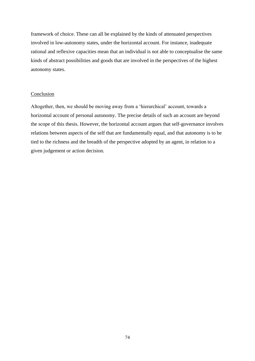framework of choice. These can all be explained by the kinds of attenuated perspectives involved in low-autonomy states, under the horizontal account. For instance, inadequate rational and reflexive capacities mean that an individual is not able to conceptualise the same kinds of abstract possibilities and goods that are involved in the perspectives of the highest autonomy states.

## Conclusion

Altogether, then, we should be moving away from a 'hierarchical' account, towards a horizontal account of personal autonomy. The precise details of such an account are beyond the scope of this thesis. However, the horizontal account argues that self-governance involves relations between aspects of the self that are fundamentally equal, and that autonomy is to be tied to the richness and the breadth of the perspective adopted by an agent, in relation to a given judgement or action decision.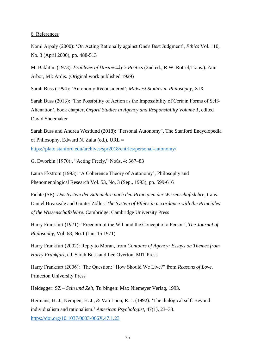## 6. References

Nomi Arpaly (2000): 'On Acting Rationally against One's Best Judgment', *Ethics* Vol. 110, No. 3 (April 2000), pp. 488-513

M. Bakhtin. (1973): *Problems of Dostoevsky's Poetics* (2nd ed.; R.W. Rotsel,Trans.). Ann Arbor, MI: Ardis. (Original work published 1929)

Sarah Buss (1994): 'Autonomy Reconsidered', *Midwest Studies in Philosophy*, XIX

Sarah Buss (2013): 'The Possibility of Action as the Impossibility of Certain Forms of Self-Alienation', book chapter, *Oxford Studies in Agency and Responsibility Volume 1*, edited David Shoemaker

Sarah Buss and Andrea Westlund (2018): "Personal Autonomy", The Stanford Encyclopedia of Philosophy, Edward N. Zalta (ed.), URL =

<https://plato.stanford.edu/archives/spr2018/entries/personal-autonomy/>

G, Dworkin (1970):, "Acting Freely," Noûs, 4: 367–83

Laura Ekstrom (1993): 'A Coherence Theory of Autonomy', Philosophy and Phenomenological Research Vol. 53, No. 3 (Sep., 1993), pp. 599-616

Fichte (SE): *Das System der Sittenlehre nach den Principien der Wissenschaftslehre,* trans. Daniel Breazeale and Günter Zöller. *The System of Ethics in accordance with the Principles of the Wissenschaftslehre*. Cambridge: Cambridge University Press

Harry Frankfurt (1971): 'Freedom of the Will and the Concept of a Person', *The Journal of Philosophy*, Vol. 68, No.1 (Jan. 15 1971)

Harry Frankfurt (2002): Reply to Moran, from *Contours of Agency: Essays on Themes from Harry Frankfurt*, ed. Sarah Buss and Lee Overton, MIT Press

Harry Frankfurt (2006): 'The Question: "How Should We Live?" from *Reasons of Love*, Princeton University Press

Heidegger: SZ – *Sein und Zeit*, Tu¨bingen: Max Niemeyer Verlag, 1993.

Hermans, H. J., Kempen, H. J., & Van Loon, R. J. (1992). 'The dialogical self: Beyond individualism and rationalism.' *American Psychologist*, 47(1), 23–33. <https://doi.org/10.1037/0003-066X.47.1.23>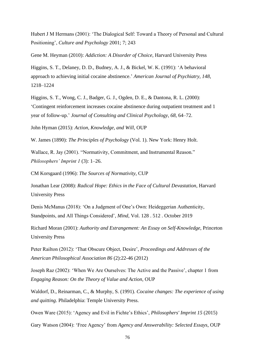Hubert J M Hermans (2001): 'The Dialogical Self: Toward a Theory of Personal and Cultural Positioning', *Culture and Psychology* 2001; 7; 243

Gene M. Heyman (2010): *Addiction: A Disorder of Choice*, Harvard University Press

Higgins, S. T., Delaney, D. D., Budney, A. J., & Bickel, W. K. (1991): 'A behavioral approach to achieving initial cocaine abstinence.' *American Journal of Psychiatry, 148*, 1218–1224

Higgins, S. T., Wong, C. J., Badger, G. J., Ogden, D. E., & Dantona, R. L. (2000): 'Contingent reinforcement increases cocaine abstinence during outpatient treatment and 1 year of follow-up.' *Journal of Consulting and Clinical Psychology, 68,* 64–72.

John Hyman (2015): *Action, Knowledge, and Will*, OUP

W. James (1890): *The Principles of Psychology* (Vol. 1). New York: Henry Holt.

Wallace, R. Jay (2001). "Normativity, Commitment, and Instrumental Reason." *Philosophers' Imprint 1* (3): 1–26.

CM Korsgaard (1996): *The Sources of Normativity*, CUP

Jonathan Lear (2008): *Radical Hope: Ethics in the Face of Cultural Devastation*, Harvard University Press

Denis McManus (2018): 'On a Judgment of One's Own: Heideggerian Authenticity, Standpoints, and All Things Considered', *Mind*, Vol. 128 . 512 . October 2019

Richard Moran (2001): *Authority and Estrangement: An Essay on Self-Knowledge*, Princeton University Press

Peter Railton (2012): 'That Obscure Object, Desire', *Proceedings and Addresses of the American Philosophical Association 86* (2):22-46 (2012)

Joseph Raz (2002): 'When We Are Ourselves: The Active and the Passive', chapter 1 from *Engaging Reason: On the Theory of Value and Action*, OUP

Waldorf, D., Reinarman, C., & Murphy, S. (1991). *Cocaine changes: The experience of using and quitting*. Philadelphia: Temple University Press.

Owen Ware (2015): 'Agency and Evil in Fichte's Ethics', *Philosophers' Imprint 15* (2015)

Gary Watson (2004): 'Free Agency' from *Agency and Answerability: Selected Essays*, OUP